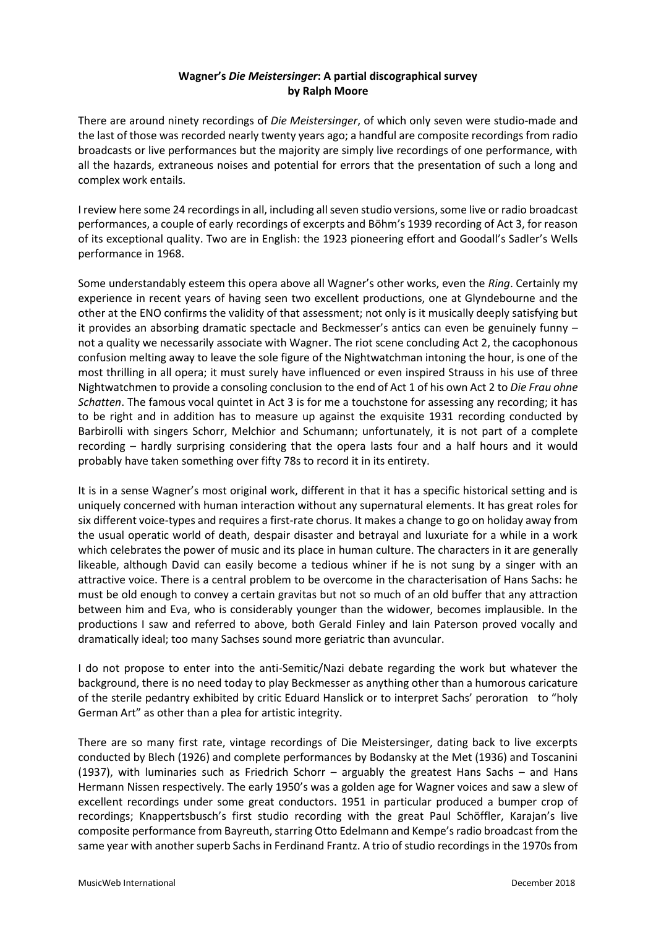# **Wagner's** *Die Meistersinger***: A partial discographical survey by Ralph Moore**

There are around ninety recordings of *Die Meistersinger*, of which only seven were studio-made and the last of those was recorded nearly twenty years ago; a handful are composite recordings from radio broadcasts or live performances but the majority are simply live recordings of one performance, with all the hazards, extraneous noises and potential for errors that the presentation of such a long and complex work entails.

I review here some 24 recordings in all, including all seven studio versions, some live or radio broadcast performances, a couple of early recordings of excerpts and Böhm's 1939 recording of Act 3, for reason of its exceptional quality. Two are in English: the 1923 pioneering effort and Goodall's Sadler's Wells performance in 1968.

Some understandably esteem this opera above all Wagner's other works, even the *Ring*. Certainly my experience in recent years of having seen two excellent productions, one at Glyndebourne and the other at the ENO confirms the validity of that assessment; not only is it musically deeply satisfying but it provides an absorbing dramatic spectacle and Beckmesser's antics can even be genuinely funny – not a quality we necessarily associate with Wagner. The riot scene concluding Act 2, the cacophonous confusion melting away to leave the sole figure of the Nightwatchman intoning the hour, is one of the most thrilling in all opera; it must surely have influenced or even inspired Strauss in his use of three Nightwatchmen to provide a consoling conclusion to the end of Act 1 of his own Act 2 to *Die Frau ohne Schatten*. The famous vocal quintet in Act 3 is for me a touchstone for assessing any recording; it has to be right and in addition has to measure up against the exquisite 1931 recording conducted by Barbirolli with singers Schorr, Melchior and Schumann; unfortunately, it is not part of a complete recording – hardly surprising considering that the opera lasts four and a half hours and it would probably have taken something over fifty 78s to record it in its entirety.

It is in a sense Wagner's most original work, different in that it has a specific historical setting and is uniquely concerned with human interaction without any supernatural elements. It has great roles for six different voice-types and requires a first-rate chorus. It makes a change to go on holiday away from the usual operatic world of death, despair disaster and betrayal and luxuriate for a while in a work which celebrates the power of music and its place in human culture. The characters in it are generally likeable, although David can easily become a tedious whiner if he is not sung by a singer with an attractive voice. There is a central problem to be overcome in the characterisation of Hans Sachs: he must be old enough to convey a certain gravitas but not so much of an old buffer that any attraction between him and Eva, who is considerably younger than the widower, becomes implausible. In the productions I saw and referred to above, both Gerald Finley and Iain Paterson proved vocally and dramatically ideal; too many Sachses sound more geriatric than avuncular.

I do not propose to enter into the anti-Semitic/Nazi debate regarding the work but whatever the background, there is no need today to play Beckmesser as anything other than a humorous caricature of the sterile pedantry exhibited by critic Eduard Hanslick or to interpret Sachs' peroration to "holy German Art" as other than a plea for artistic integrity.

There are so many first rate, vintage recordings of Die Meistersinger, dating back to live excerpts conducted by Blech (1926) and complete performances by Bodansky at the Met (1936) and Toscanini (1937), with luminaries such as Friedrich Schorr – arguably the greatest Hans Sachs – and Hans Hermann Nissen respectively. The early 1950's was a golden age for Wagner voices and saw a slew of excellent recordings under some great conductors. 1951 in particular produced a bumper crop of recordings; Knappertsbusch's first studio recording with the great Paul Schöffler, Karajan's live composite performance from Bayreuth, starring Otto Edelmann and Kempe's radio broadcast from the same year with another superb Sachs in Ferdinand Frantz. A trio of studio recordings in the 1970s from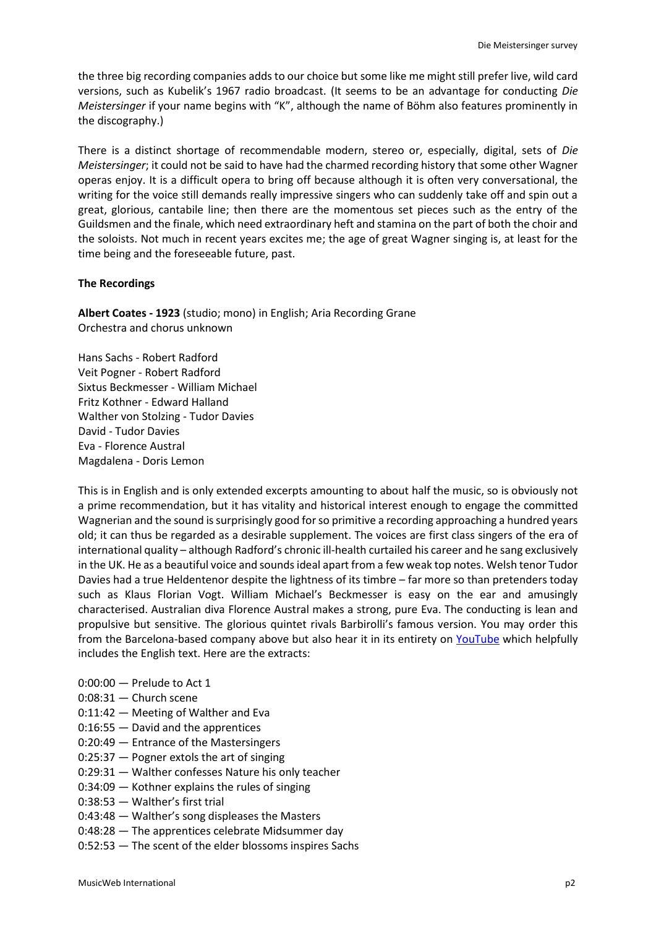the three big recording companies adds to our choice but some like me might still prefer live, wild card versions, such as Kubelik's 1967 radio broadcast. (It seems to be an advantage for conducting *Die Meistersinger* if your name begins with "K", although the name of Böhm also features prominently in the discography.)

There is a distinct shortage of recommendable modern, stereo or, especially, digital, sets of *Die Meistersinger*; it could not be said to have had the charmed recording history that some other Wagner operas enjoy. It is a difficult opera to bring off because although it is often very conversational, the writing for the voice still demands really impressive singers who can suddenly take off and spin out a great, glorious, cantabile line; then there are the momentous set pieces such as the entry of the Guildsmen and the finale, which need extraordinary heft and stamina on the part of both the choir and the soloists. Not much in recent years excites me; the age of great Wagner singing is, at least for the time being and the foreseeable future, past.

### **The Recordings**

**Albert Coates - 1923** (studio; mono) in English; Aria Recording Grane Orchestra and chorus unknown

Hans Sachs - Robert Radford Veit Pogner - Robert Radford Sixtus Beckmesser - William Michael Fritz Kothner - Edward Halland Walther von Stolzing - Tudor Davies David - Tudor Davies Eva - Florence Austral Magdalena - Doris Lemon

This is in English and is only extended excerpts amounting to about half the music, so is obviously not a prime recommendation, but it has vitality and historical interest enough to engage the committed Wagnerian and the sound issurprisingly good for so primitive a recording approaching a hundred years old; it can thus be regarded as a desirable supplement. The voices are first class singers of the era of international quality – although Radford's chronic ill-health curtailed his career and he sang exclusively in the UK. He as a beautiful voice and sounds ideal apart from a few weak top notes. Welsh tenor Tudor Davies had a true Heldentenor despite the lightness of its timbre – far more so than pretenders today such as Klaus Florian Vogt. William Michael's Beckmesser is easy on the ear and amusingly characterised. Australian diva Florence Austral makes a strong, pure Eva. The conducting is lean and propulsive but sensitive. The glorious quintet rivals Barbirolli's famous version. You may order this from the Barcelona-based company above but also hear it in its entirety on [YouTube](https://www.youtube.com/watch?v=Y-sJnEIX7qc) which helpfully includes the English text. Here are the extracts:

- $0:00:00$  Prelude to Act 1
- 0:08:31 Church scene
- 0:11:42 Meeting of Walther and Eva
- 0:16:55 David and the apprentices
- 0:20:49 Entrance of the Mastersingers
- 0:25:37 Pogner extols the art of singing
- 0:29:31 Walther confesses Nature his only teacher
- 0:34:09 Kothner explains the rules of singing
- 0:38:53 Walther's first trial
- 0:43:48 Walther's song displeases the Masters
- 0:48:28 The apprentices celebrate Midsummer day
- 0:52:53 The scent of the elder blossoms inspires Sachs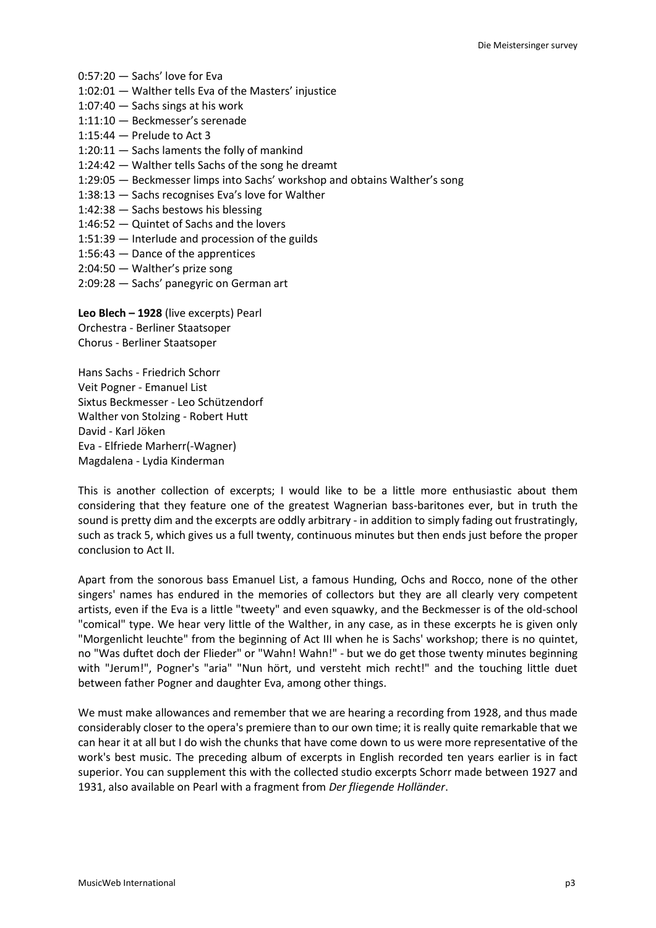- 0:57:20 Sachs' love for Eva
- 1:02:01 Walther tells Eva of the Masters' injustice
- 1:07:40 Sachs sings at his work
- 1:11:10 Beckmesser's serenade
- 1:15:44 Prelude to Act 3
- 1:20:11 Sachs laments the folly of mankind
- 1:24:42 Walther tells Sachs of the song he dreamt
- 1:29:05 Beckmesser limps into Sachs' workshop and obtains Walther's song
- 1:38:13 Sachs recognises Eva's love for Walther
- 1:42:38 Sachs bestows his blessing
- 1:46:52 Quintet of Sachs and the lovers
- 1:51:39 Interlude and procession of the guilds
- 1:56:43 Dance of the apprentices
- 2:04:50 Walther's prize song
- 2:09:28 Sachs' panegyric on German art

**Leo Blech – 1928** (live excerpts) Pearl Orchestra - Berliner Staatsoper Chorus - Berliner Staatsoper

Hans Sachs - Friedrich Schorr Veit Pogner - Emanuel List Sixtus Beckmesser - Leo Schützendorf Walther von Stolzing - Robert Hutt David - Karl Jöken Eva - Elfriede Marherr(-Wagner) Magdalena - Lydia Kinderman

This is another collection of excerpts; I would like to be a little more enthusiastic about them considering that they feature one of the greatest Wagnerian bass-baritones ever, but in truth the sound is pretty dim and the excerpts are oddly arbitrary - in addition to simply fading out frustratingly, such as track 5, which gives us a full twenty, continuous minutes but then ends just before the proper conclusion to Act II.

Apart from the sonorous bass Emanuel List, a famous Hunding, Ochs and Rocco, none of the other singers' names has endured in the memories of collectors but they are all clearly very competent artists, even if the Eva is a little "tweety" and even squawky, and the Beckmesser is of the old-school "comical" type. We hear very little of the Walther, in any case, as in these excerpts he is given only "Morgenlicht leuchte" from the beginning of Act III when he is Sachs' workshop; there is no quintet, no "Was duftet doch der Flieder" or "Wahn! Wahn!" - but we do get those twenty minutes beginning with "Jerum!", Pogner's "aria" "Nun hört, und versteht mich recht!" and the touching little duet between father Pogner and daughter Eva, among other things.

We must make allowances and remember that we are hearing a recording from 1928, and thus made considerably closer to the opera's premiere than to our own time; it is really quite remarkable that we can hear it at all but I do wish the chunks that have come down to us were more representative of the work's best music. The preceding album of excerpts in English recorded ten years earlier is in fact superior. You can supplement this with the collected studio excerpts Schorr made between 1927 and 1931, also available on Pearl with a fragment from *Der fliegende Holländer*.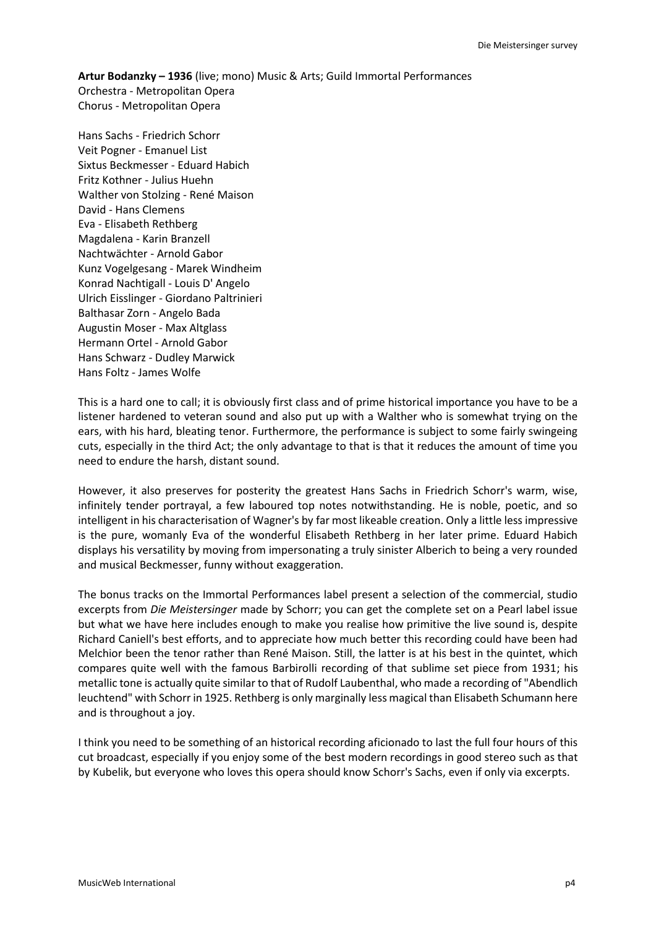**Artur Bodanzky – 1936** (live; mono) Music & Arts; Guild Immortal Performances Orchestra - Metropolitan Opera Chorus - Metropolitan Opera

Hans Sachs - Friedrich Schorr Veit Pogner - Emanuel List Sixtus Beckmesser - Eduard Habich Fritz Kothner - Julius Huehn Walther von Stolzing - René Maison David - Hans Clemens Eva - Elisabeth Rethberg Magdalena - Karin Branzell Nachtwächter - Arnold Gabor Kunz Vogelgesang - Marek Windheim Konrad Nachtigall - Louis D' Angelo Ulrich Eisslinger - Giordano Paltrinieri Balthasar Zorn - Angelo Bada Augustin Moser - Max Altglass Hermann Ortel - Arnold Gabor Hans Schwarz - Dudley Marwick Hans Foltz - James Wolfe

This is a hard one to call; it is obviously first class and of prime historical importance you have to be a listener hardened to veteran sound and also put up with a Walther who is somewhat trying on the ears, with his hard, bleating tenor. Furthermore, the performance is subject to some fairly swingeing cuts, especially in the third Act; the only advantage to that is that it reduces the amount of time you need to endure the harsh, distant sound.

However, it also preserves for posterity the greatest Hans Sachs in Friedrich Schorr's warm, wise, infinitely tender portrayal, a few laboured top notes notwithstanding. He is noble, poetic, and so intelligent in his characterisation of Wagner's by far most likeable creation. Only a little less impressive is the pure, womanly Eva of the wonderful Elisabeth Rethberg in her later prime. Eduard Habich displays his versatility by moving from impersonating a truly sinister Alberich to being a very rounded and musical Beckmesser, funny without exaggeration.

The bonus tracks on the Immortal Performances label present a selection of the commercial, studio excerpts from *Die Meistersinger* made by Schorr; you can get the complete set on a Pearl label issue but what we have here includes enough to make you realise how primitive the live sound is, despite Richard Caniell's best efforts, and to appreciate how much better this recording could have been had Melchior been the tenor rather than René Maison. Still, the latter is at his best in the quintet, which compares quite well with the famous Barbirolli recording of that sublime set piece from 1931; his metallic tone is actually quite similar to that of Rudolf Laubenthal, who made a recording of "Abendlich leuchtend" with Schorr in 1925. Rethberg is only marginally less magical than Elisabeth Schumann here and is throughout a joy.

I think you need to be something of an historical recording aficionado to last the full four hours of this cut broadcast, especially if you enjoy some of the best modern recordings in good stereo such as that by Kubelik, but everyone who loves this opera should know Schorr's Sachs, even if only via excerpts.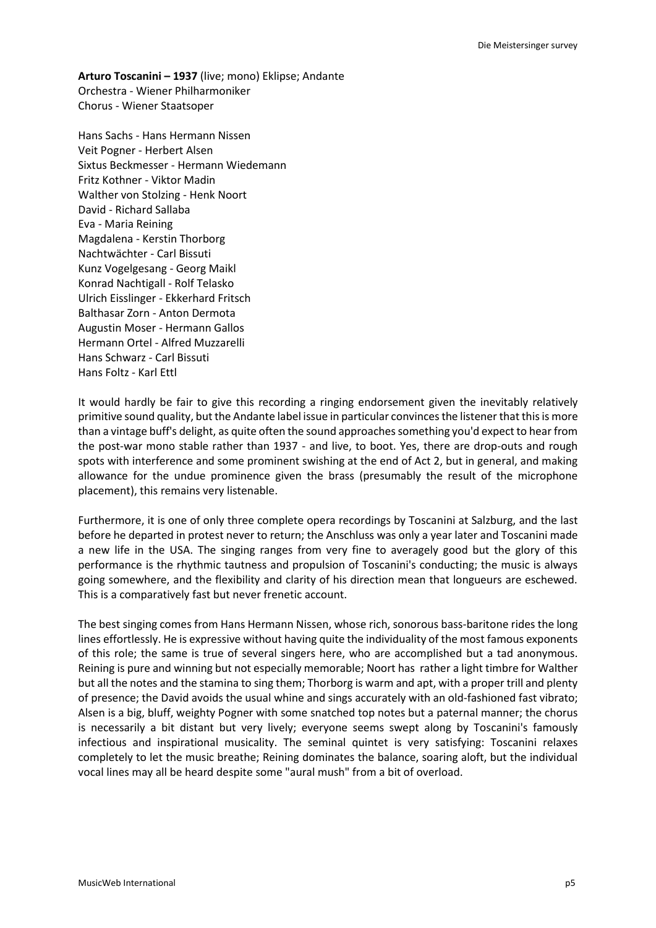**Arturo Toscanini – 1937** (live; mono) Eklipse; Andante Orchestra - Wiener Philharmoniker Chorus - Wiener Staatsoper

Hans Sachs - Hans Hermann Nissen Veit Pogner - Herbert Alsen Sixtus Beckmesser - Hermann Wiedemann Fritz Kothner - Viktor Madin Walther von Stolzing - Henk Noort David - Richard Sallaba Eva - Maria Reining Magdalena - Kerstin Thorborg Nachtwächter - Carl Bissuti Kunz Vogelgesang - Georg Maikl Konrad Nachtigall - Rolf Telasko Ulrich Eisslinger - Ekkerhard Fritsch Balthasar Zorn - Anton Dermota Augustin Moser - Hermann Gallos Hermann Ortel - Alfred Muzzarelli Hans Schwarz - Carl Bissuti Hans Foltz - Karl Ettl

It would hardly be fair to give this recording a ringing endorsement given the inevitably relatively primitive sound quality, but the Andante label issue in particular convinces the listener that this is more than a vintage buff's delight, as quite often the sound approaches something you'd expect to hear from the post-war mono stable rather than 1937 - and live, to boot. Yes, there are drop-outs and rough spots with interference and some prominent swishing at the end of Act 2, but in general, and making allowance for the undue prominence given the brass (presumably the result of the microphone placement), this remains very listenable.

Furthermore, it is one of only three complete opera recordings by Toscanini at Salzburg, and the last before he departed in protest never to return; the Anschluss was only a year later and Toscanini made a new life in the USA. The singing ranges from very fine to averagely good but the glory of this performance is the rhythmic tautness and propulsion of Toscanini's conducting; the music is always going somewhere, and the flexibility and clarity of his direction mean that longueurs are eschewed. This is a comparatively fast but never frenetic account.

The best singing comes from Hans Hermann Nissen, whose rich, sonorous bass-baritone rides the long lines effortlessly. He is expressive without having quite the individuality of the most famous exponents of this role; the same is true of several singers here, who are accomplished but a tad anonymous. Reining is pure and winning but not especially memorable; Noort has rather a light timbre for Walther but all the notes and the stamina to sing them; Thorborg is warm and apt, with a proper trill and plenty of presence; the David avoids the usual whine and sings accurately with an old-fashioned fast vibrato; Alsen is a big, bluff, weighty Pogner with some snatched top notes but a paternal manner; the chorus is necessarily a bit distant but very lively; everyone seems swept along by Toscanini's famously infectious and inspirational musicality. The seminal quintet is very satisfying: Toscanini relaxes completely to let the music breathe; Reining dominates the balance, soaring aloft, but the individual vocal lines may all be heard despite some "aural mush" from a bit of overload.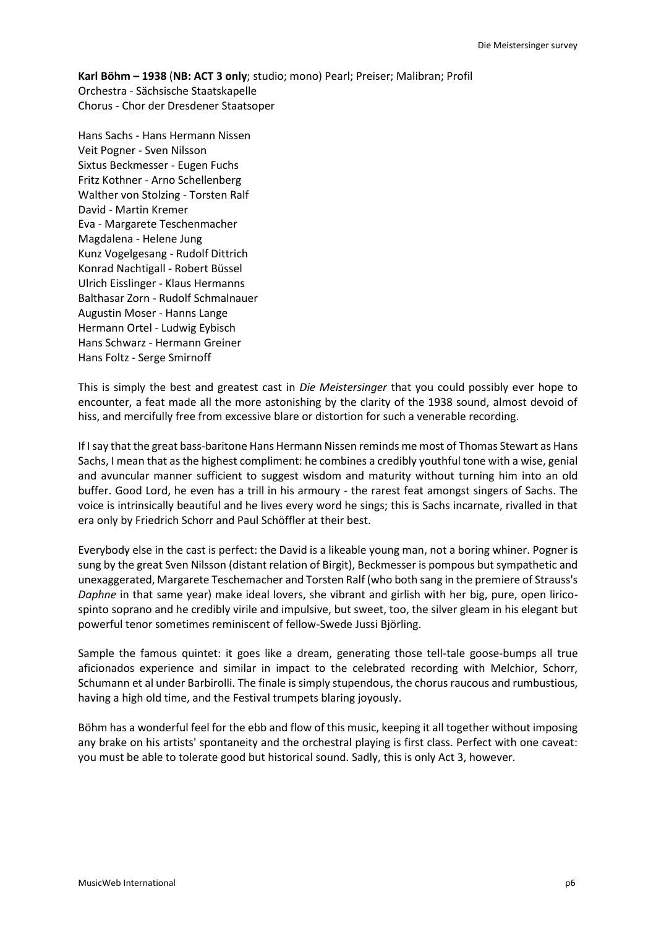**Karl Böhm – 1938** (**NB: ACT 3 only**; studio; mono) Pearl; Preiser; Malibran; Profil Orchestra - Sächsische Staatskapelle Chorus - Chor der Dresdener Staatsoper

Hans Sachs - Hans Hermann Nissen Veit Pogner - Sven Nilsson Sixtus Beckmesser - Eugen Fuchs Fritz Kothner - Arno Schellenberg Walther von Stolzing - Torsten Ralf David - Martin Kremer Eva - Margarete Teschenmacher Magdalena - Helene Jung Kunz Vogelgesang - Rudolf Dittrich Konrad Nachtigall - Robert Büssel Ulrich Eisslinger - Klaus Hermanns Balthasar Zorn - Rudolf Schmalnauer Augustin Moser - Hanns Lange Hermann Ortel - Ludwig Eybisch Hans Schwarz - Hermann Greiner Hans Foltz - Serge Smirnoff

This is simply the best and greatest cast in *Die Meistersinger* that you could possibly ever hope to encounter, a feat made all the more astonishing by the clarity of the 1938 sound, almost devoid of hiss, and mercifully free from excessive blare or distortion for such a venerable recording.

If I say that the great bass-baritone Hans Hermann Nissen reminds me most of Thomas Stewart as Hans Sachs, I mean that as the highest compliment: he combines a credibly youthful tone with a wise, genial and avuncular manner sufficient to suggest wisdom and maturity without turning him into an old buffer. Good Lord, he even has a trill in his armoury - the rarest feat amongst singers of Sachs. The voice is intrinsically beautiful and he lives every word he sings; this is Sachs incarnate, rivalled in that era only by Friedrich Schorr and Paul Schöffler at their best.

Everybody else in the cast is perfect: the David is a likeable young man, not a boring whiner. Pogner is sung by the great Sven Nilsson (distant relation of Birgit), Beckmesser is pompous but sympathetic and unexaggerated, Margarete Teschemacher and Torsten Ralf (who both sang in the premiere of Strauss's *Daphne* in that same year) make ideal lovers, she vibrant and girlish with her big, pure, open liricospinto soprano and he credibly virile and impulsive, but sweet, too, the silver gleam in his elegant but powerful tenor sometimes reminiscent of fellow-Swede Jussi Björling.

Sample the famous quintet: it goes like a dream, generating those tell-tale goose-bumps all true aficionados experience and similar in impact to the celebrated recording with Melchior, Schorr, Schumann et al under Barbirolli. The finale is simply stupendous, the chorus raucous and rumbustious, having a high old time, and the Festival trumpets blaring joyously.

Böhm has a wonderful feel for the ebb and flow of this music, keeping it all together without imposing any brake on his artists' spontaneity and the orchestral playing is first class. Perfect with one caveat: you must be able to tolerate good but historical sound. Sadly, this is only Act 3, however.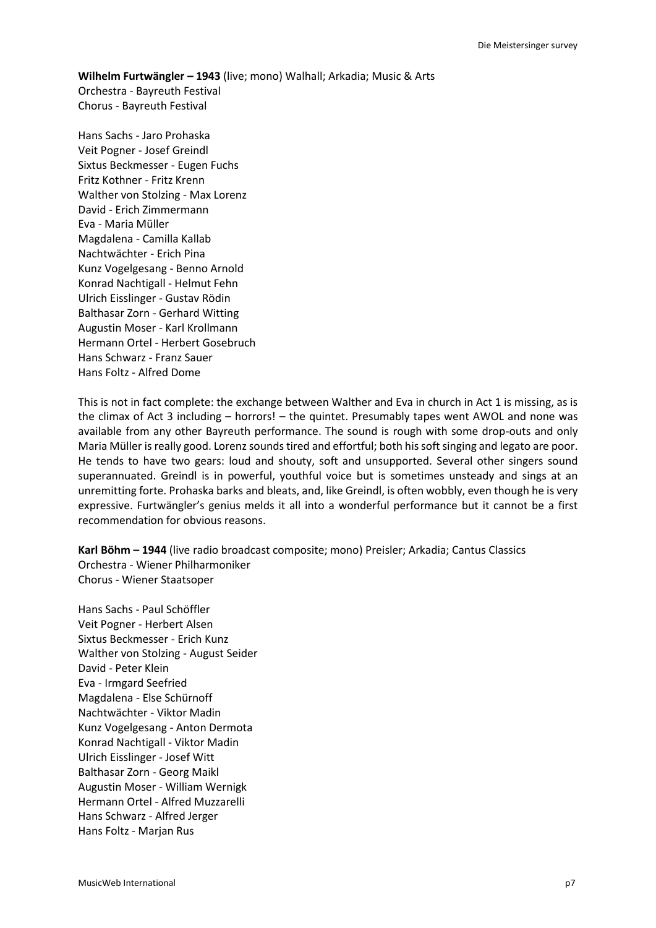**Wilhelm Furtwängler – 1943** (live; mono) Walhall; Arkadia; Music & Arts Orchestra - Bayreuth Festival Chorus - Bayreuth Festival

Hans Sachs - Jaro Prohaska Veit Pogner - Josef Greindl Sixtus Beckmesser - Eugen Fuchs Fritz Kothner - Fritz Krenn Walther von Stolzing - Max Lorenz David - Erich Zimmermann Eva - Maria Müller Magdalena - Camilla Kallab Nachtwächter - Erich Pina Kunz Vogelgesang - Benno Arnold Konrad Nachtigall - Helmut Fehn Ulrich Eisslinger - Gustav Rödin Balthasar Zorn - Gerhard Witting Augustin Moser - Karl Krollmann Hermann Ortel - Herbert Gosebruch Hans Schwarz - Franz Sauer Hans Foltz - Alfred Dome

This is not in fact complete: the exchange between Walther and Eva in church in Act 1 is missing, as is the climax of Act 3 including – horrors! – the quintet. Presumably tapes went AWOL and none was available from any other Bayreuth performance. The sound is rough with some drop-outs and only Maria Müller is really good. Lorenz sounds tired and effortful; both his soft singing and legato are poor. He tends to have two gears: loud and shouty, soft and unsupported. Several other singers sound superannuated. Greindl is in powerful, youthful voice but is sometimes unsteady and sings at an unremitting forte. Prohaska barks and bleats, and, like Greindl, is often wobbly, even though he is very expressive. Furtwängler's genius melds it all into a wonderful performance but it cannot be a first recommendation for obvious reasons.

**Karl Böhm – 1944** (live radio broadcast composite; mono) Preisler; Arkadia; Cantus Classics Orchestra - Wiener Philharmoniker Chorus - Wiener Staatsoper

Hans Sachs - Paul Schöffler Veit Pogner - Herbert Alsen Sixtus Beckmesser - Erich Kunz Walther von Stolzing - August Seider David - Peter Klein Eva - Irmgard Seefried Magdalena - Else Schürnoff Nachtwächter - Viktor Madin Kunz Vogelgesang - Anton Dermota Konrad Nachtigall - Viktor Madin Ulrich Eisslinger - Josef Witt Balthasar Zorn - Georg Maikl Augustin Moser - William Wernigk Hermann Ortel - Alfred Muzzarelli Hans Schwarz - Alfred Jerger Hans Foltz - Marjan Rus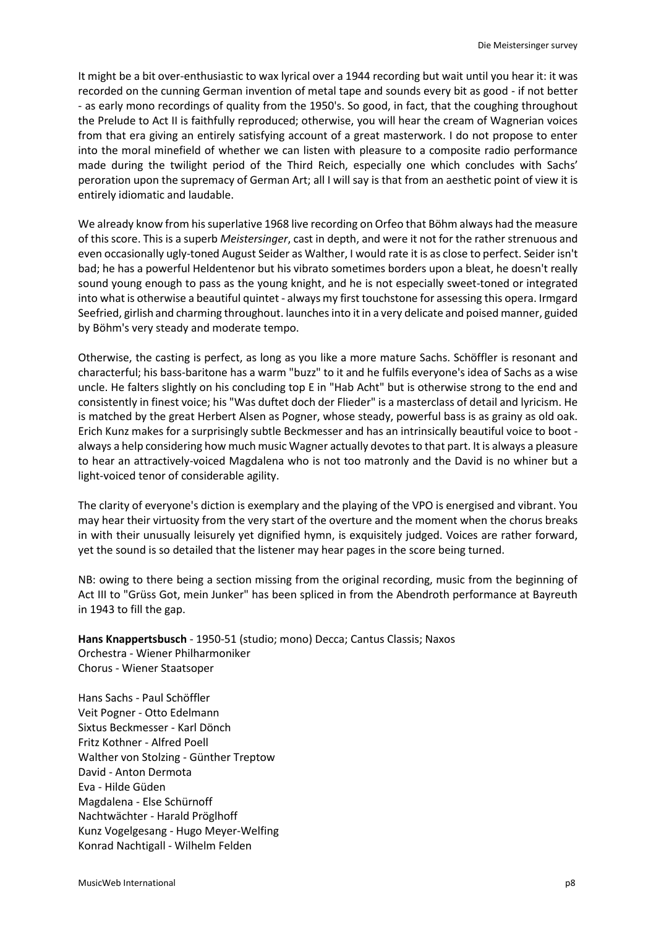It might be a bit over-enthusiastic to wax lyrical over a 1944 recording but wait until you hear it: it was recorded on the cunning German invention of metal tape and sounds every bit as good - if not better - as early mono recordings of quality from the 1950's. So good, in fact, that the coughing throughout the Prelude to Act II is faithfully reproduced; otherwise, you will hear the cream of Wagnerian voices from that era giving an entirely satisfying account of a great masterwork. I do not propose to enter into the moral minefield of whether we can listen with pleasure to a composite radio performance made during the twilight period of the Third Reich, especially one which concludes with Sachs' peroration upon the supremacy of German Art; all I will say is that from an aesthetic point of view it is entirely idiomatic and laudable.

We already know from his superlative 1968 live recording on Orfeo that Böhm always had the measure of this score. This is a superb *Meistersinger*, cast in depth, and were it not for the rather strenuous and even occasionally ugly-toned August Seider as Walther, I would rate it is as close to perfect. Seider isn't bad; he has a powerful Heldentenor but his vibrato sometimes borders upon a bleat, he doesn't really sound young enough to pass as the young knight, and he is not especially sweet-toned or integrated into what is otherwise a beautiful quintet - always my first touchstone for assessing this opera. Irmgard Seefried, girlish and charming throughout. launches into it in a very delicate and poised manner, guided by Böhm's very steady and moderate tempo.

Otherwise, the casting is perfect, as long as you like a more mature Sachs. Schöffler is resonant and characterful; his bass-baritone has a warm "buzz" to it and he fulfils everyone's idea of Sachs as a wise uncle. He falters slightly on his concluding top E in "Hab Acht" but is otherwise strong to the end and consistently in finest voice; his "Was duftet doch der Flieder" is a masterclass of detail and lyricism. He is matched by the great Herbert Alsen as Pogner, whose steady, powerful bass is as grainy as old oak. Erich Kunz makes for a surprisingly subtle Beckmesser and has an intrinsically beautiful voice to boot always a help considering how much music Wagner actually devotes to that part. It is always a pleasure to hear an attractively-voiced Magdalena who is not too matronly and the David is no whiner but a light-voiced tenor of considerable agility.

The clarity of everyone's diction is exemplary and the playing of the VPO is energised and vibrant. You may hear their virtuosity from the very start of the overture and the moment when the chorus breaks in with their unusually leisurely yet dignified hymn, is exquisitely judged. Voices are rather forward, yet the sound is so detailed that the listener may hear pages in the score being turned.

NB: owing to there being a section missing from the original recording, music from the beginning of Act III to "Grüss Got, mein Junker" has been spliced in from the Abendroth performance at Bayreuth in 1943 to fill the gap.

**Hans Knappertsbusch** - 1950-51 (studio; mono) Decca; Cantus Classis; Naxos Orchestra - Wiener Philharmoniker Chorus - Wiener Staatsoper

Hans Sachs - Paul Schöffler Veit Pogner - Otto Edelmann Sixtus Beckmesser - Karl Dönch Fritz Kothner - Alfred Poell Walther von Stolzing - Günther Treptow David - Anton Dermota Eva - Hilde Güden Magdalena - Else Schürnoff Nachtwächter - Harald Pröglhoff Kunz Vogelgesang - Hugo Meyer-Welfing Konrad Nachtigall - Wilhelm Felden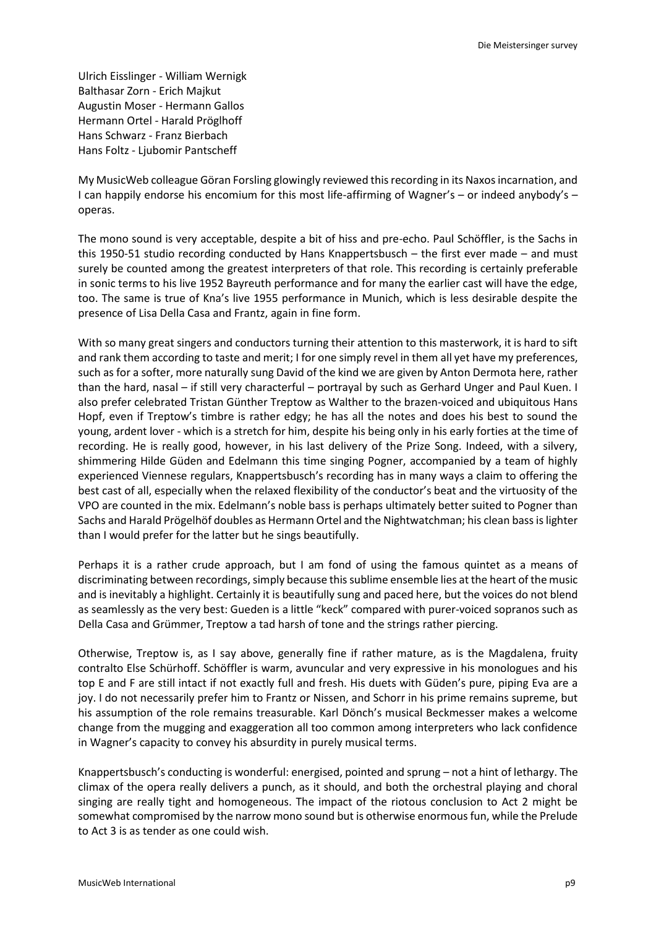Ulrich Eisslinger - William Wernigk Balthasar Zorn - Erich Majkut Augustin Moser - Hermann Gallos Hermann Ortel - Harald Pröglhoff Hans Schwarz - Franz Bierbach Hans Foltz - Ljubomir Pantscheff

My MusicWeb colleague Göran Forsling glowingly reviewed this recording in its Naxos incarnation, and I can happily endorse his encomium for this most life-affirming of Wagner's – or indeed anybody's – operas.

The mono sound is very acceptable, despite a bit of hiss and pre-echo. Paul Schöffler, is the Sachs in this 1950-51 studio recording conducted by Hans Knappertsbusch – the first ever made – and must surely be counted among the greatest interpreters of that role. This recording is certainly preferable in sonic terms to his live 1952 Bayreuth performance and for many the earlier cast will have the edge, too. The same is true of Kna's live 1955 performance in Munich, which is less desirable despite the presence of Lisa Della Casa and Frantz, again in fine form.

With so many great singers and conductors turning their attention to this masterwork, it is hard to sift and rank them according to taste and merit; I for one simply revel in them all yet have my preferences, such as for a softer, more naturally sung David of the kind we are given by Anton Dermota here, rather than the hard, nasal – if still very characterful – portrayal by such as Gerhard Unger and Paul Kuen. I also prefer celebrated Tristan Günther Treptow as Walther to the brazen-voiced and ubiquitous Hans Hopf, even if Treptow's timbre is rather edgy; he has all the notes and does his best to sound the young, ardent lover - which is a stretch for him, despite his being only in his early forties at the time of recording. He is really good, however, in his last delivery of the Prize Song. Indeed, with a silvery, shimmering Hilde Güden and Edelmann this time singing Pogner, accompanied by a team of highly experienced Viennese regulars, Knappertsbusch's recording has in many ways a claim to offering the best cast of all, especially when the relaxed flexibility of the conductor's beat and the virtuosity of the VPO are counted in the mix. Edelmann's noble bass is perhaps ultimately better suited to Pogner than Sachs and Harald Prögelhöf doubles as Hermann Ortel and the Nightwatchman; his clean bass is lighter than I would prefer for the latter but he sings beautifully.

Perhaps it is a rather crude approach, but I am fond of using the famous quintet as a means of discriminating between recordings, simply because this sublime ensemble lies at the heart of the music and is inevitably a highlight. Certainly it is beautifully sung and paced here, but the voices do not blend as seamlessly as the very best: Gueden is a little "keck" compared with purer-voiced sopranos such as Della Casa and Grümmer, Treptow a tad harsh of tone and the strings rather piercing.

Otherwise, Treptow is, as I say above, generally fine if rather mature, as is the Magdalena, fruity contralto Else Schürhoff. Schöffler is warm, avuncular and very expressive in his monologues and his top E and F are still intact if not exactly full and fresh. His duets with Güden's pure, piping Eva are a joy. I do not necessarily prefer him to Frantz or Nissen, and Schorr in his prime remains supreme, but his assumption of the role remains treasurable. Karl Dönch's musical Beckmesser makes a welcome change from the mugging and exaggeration all too common among interpreters who lack confidence in Wagner's capacity to convey his absurdity in purely musical terms.

Knappertsbusch's conducting is wonderful: energised, pointed and sprung – not a hint of lethargy. The climax of the opera really delivers a punch, as it should, and both the orchestral playing and choral singing are really tight and homogeneous. The impact of the riotous conclusion to Act 2 might be somewhat compromised by the narrow mono sound but is otherwise enormous fun, while the Prelude to Act 3 is as tender as one could wish.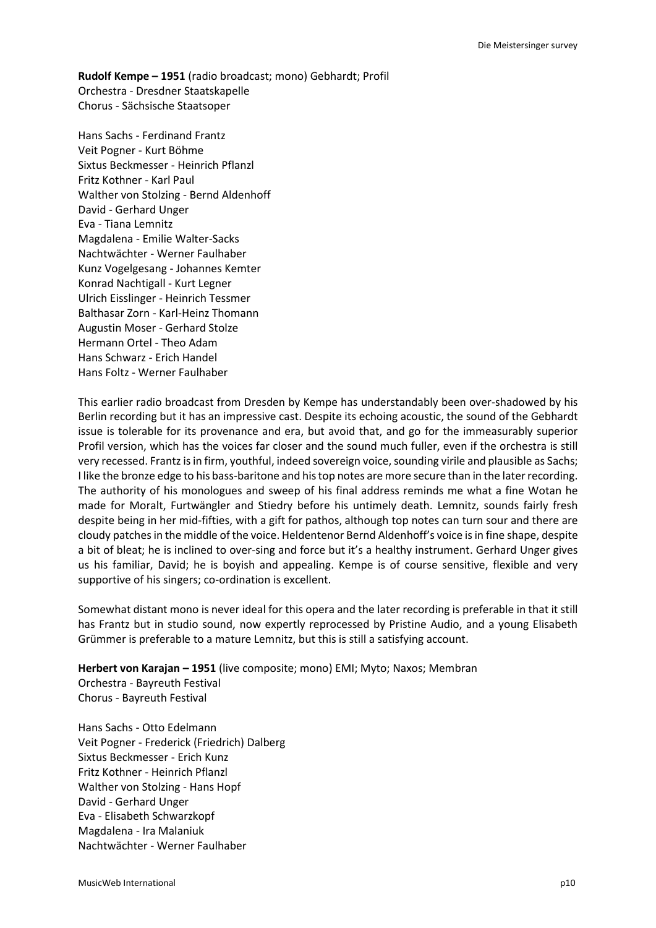**Rudolf Kempe – 1951** (radio broadcast; mono) Gebhardt; Profil Orchestra - Dresdner Staatskapelle Chorus - Sächsische Staatsoper

Hans Sachs - Ferdinand Frantz Veit Pogner - Kurt Böhme Sixtus Beckmesser - Heinrich Pflanzl Fritz Kothner - Karl Paul Walther von Stolzing - Bernd Aldenhoff David - Gerhard Unger Eva - Tiana Lemnitz Magdalena - Emilie Walter-Sacks Nachtwächter - Werner Faulhaber Kunz Vogelgesang - Johannes Kemter Konrad Nachtigall - Kurt Legner Ulrich Eisslinger - Heinrich Tessmer Balthasar Zorn - Karl-Heinz Thomann Augustin Moser - Gerhard Stolze Hermann Ortel - Theo Adam Hans Schwarz - Erich Handel Hans Foltz - Werner Faulhaber

This earlier radio broadcast from Dresden by Kempe has understandably been over-shadowed by his Berlin recording but it has an impressive cast. Despite its echoing acoustic, the sound of the Gebhardt issue is tolerable for its provenance and era, but avoid that, and go for the immeasurably superior Profil version, which has the voices far closer and the sound much fuller, even if the orchestra is still very recessed. Frantz is in firm, youthful, indeed sovereign voice, sounding virile and plausible as Sachs; I like the bronze edge to his bass-baritone and his top notes are more secure than in the later recording. The authority of his monologues and sweep of his final address reminds me what a fine Wotan he made for Moralt, Furtwängler and Stiedry before his untimely death. Lemnitz, sounds fairly fresh despite being in her mid-fifties, with a gift for pathos, although top notes can turn sour and there are cloudy patches in the middle of the voice. Heldentenor Bernd Aldenhoff's voice is in fine shape, despite a bit of bleat; he is inclined to over-sing and force but it's a healthy instrument. Gerhard Unger gives us his familiar, David; he is boyish and appealing. Kempe is of course sensitive, flexible and very supportive of his singers; co-ordination is excellent.

Somewhat distant mono is never ideal for this opera and the later recording is preferable in that it still has Frantz but in studio sound, now expertly reprocessed by Pristine Audio, and a young Elisabeth Grümmer is preferable to a mature Lemnitz, but this is still a satisfying account.

**Herbert von Karajan – 1951** (live composite; mono) EMI; Myto; Naxos; Membran Orchestra - Bayreuth Festival Chorus - Bayreuth Festival

Hans Sachs - Otto Edelmann Veit Pogner - Frederick (Friedrich) Dalberg Sixtus Beckmesser - Erich Kunz Fritz Kothner - Heinrich Pflanzl Walther von Stolzing - Hans Hopf David - Gerhard Unger Eva - Elisabeth Schwarzkopf Magdalena - Ira Malaniuk Nachtwächter - Werner Faulhaber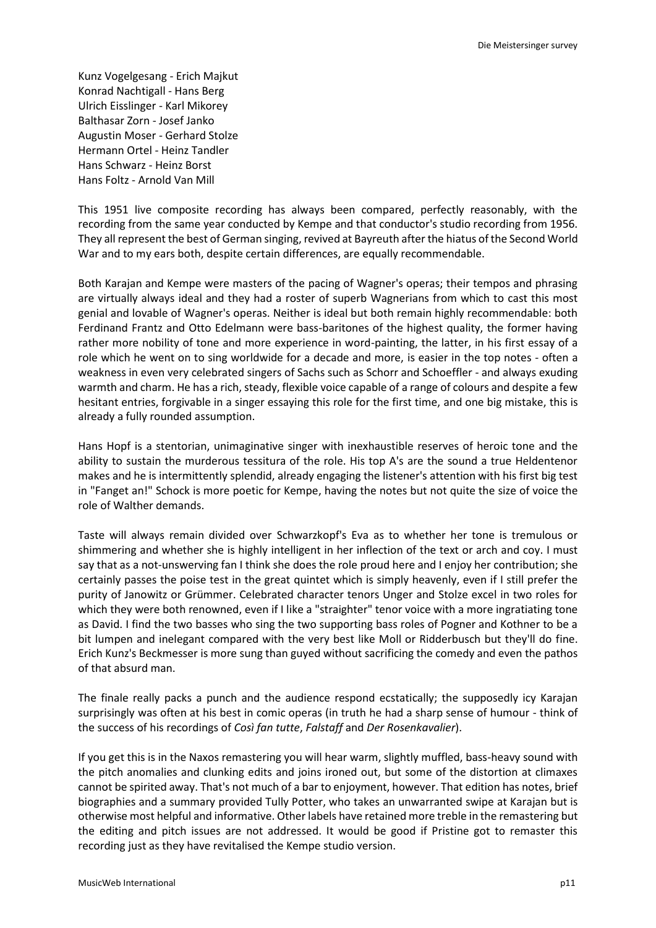Kunz Vogelgesang - Erich Majkut Konrad Nachtigall - Hans Berg Ulrich Eisslinger - Karl Mikorey Balthasar Zorn - Josef Janko Augustin Moser - Gerhard Stolze Hermann Ortel - Heinz Tandler Hans Schwarz - Heinz Borst Hans Foltz - Arnold Van Mill

This 1951 live composite recording has always been compared, perfectly reasonably, with the recording from the same year conducted by Kempe and that conductor's studio recording from 1956. They all represent the best of German singing, revived at Bayreuth after the hiatus of the Second World War and to my ears both, despite certain differences, are equally recommendable.

Both Karajan and Kempe were masters of the pacing of Wagner's operas; their tempos and phrasing are virtually always ideal and they had a roster of superb Wagnerians from which to cast this most genial and lovable of Wagner's operas. Neither is ideal but both remain highly recommendable: both Ferdinand Frantz and Otto Edelmann were bass-baritones of the highest quality, the former having rather more nobility of tone and more experience in word-painting, the latter, in his first essay of a role which he went on to sing worldwide for a decade and more, is easier in the top notes - often a weakness in even very celebrated singers of Sachs such as Schorr and Schoeffler - and always exuding warmth and charm. He has a rich, steady, flexible voice capable of a range of colours and despite a few hesitant entries, forgivable in a singer essaying this role for the first time, and one big mistake, this is already a fully rounded assumption.

Hans Hopf is a stentorian, unimaginative singer with inexhaustible reserves of heroic tone and the ability to sustain the murderous tessitura of the role. His top A's are the sound a true Heldentenor makes and he is intermittently splendid, already engaging the listener's attention with his first big test in "Fanget an!" Schock is more poetic for Kempe, having the notes but not quite the size of voice the role of Walther demands.

Taste will always remain divided over Schwarzkopf's Eva as to whether her tone is tremulous or shimmering and whether she is highly intelligent in her inflection of the text or arch and coy. I must say that as a not-unswerving fan I think she does the role proud here and I enjoy her contribution; she certainly passes the poise test in the great quintet which is simply heavenly, even if I still prefer the purity of Janowitz or Grümmer. Celebrated character tenors Unger and Stolze excel in two roles for which they were both renowned, even if I like a "straighter" tenor voice with a more ingratiating tone as David. I find the two basses who sing the two supporting bass roles of Pogner and Kothner to be a bit lumpen and inelegant compared with the very best like Moll or Ridderbusch but they'll do fine. Erich Kunz's Beckmesser is more sung than guyed without sacrificing the comedy and even the pathos of that absurd man.

The finale really packs a punch and the audience respond ecstatically; the supposedly icy Karajan surprisingly was often at his best in comic operas (in truth he had a sharp sense of humour - think of the success of his recordings of *Così fan tutte*, *Falstaff* and *Der Rosenkavalier*).

If you get this is in the Naxos remastering you will hear warm, slightly muffled, bass-heavy sound with the pitch anomalies and clunking edits and joins ironed out, but some of the distortion at climaxes cannot be spirited away. That's not much of a bar to enjoyment, however. That edition has notes, brief biographies and a summary provided Tully Potter, who takes an unwarranted swipe at Karajan but is otherwise most helpful and informative. Other labels have retained more treble in the remastering but the editing and pitch issues are not addressed. It would be good if Pristine got to remaster this recording just as they have revitalised the Kempe studio version.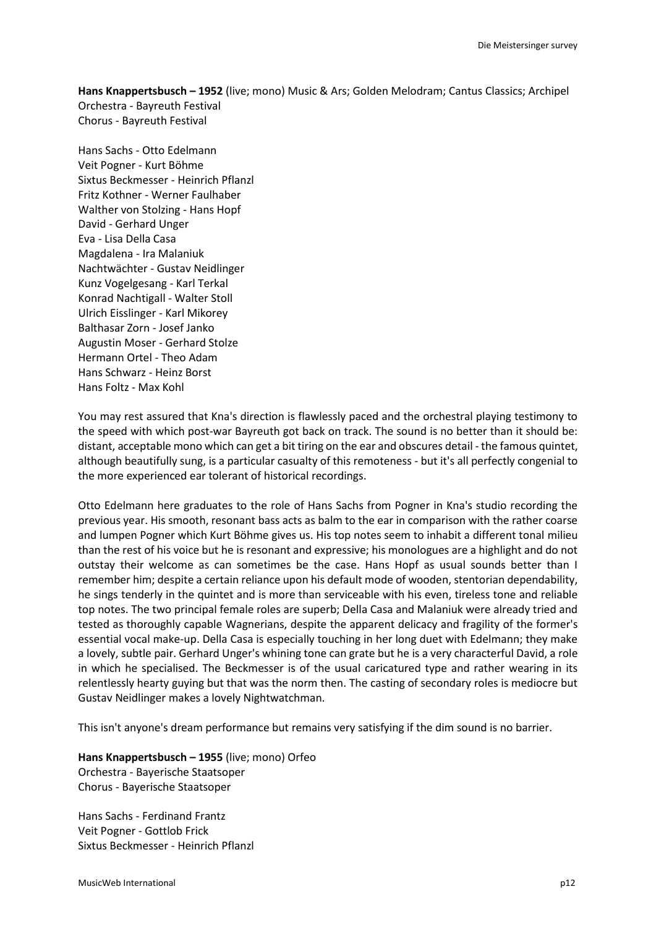**Hans Knappertsbusch – 1952** (live; mono) Music & Ars; Golden Melodram; Cantus Classics; Archipel Orchestra - Bayreuth Festival Chorus - Bayreuth Festival

Hans Sachs - Otto Edelmann Veit Pogner - Kurt Böhme Sixtus Beckmesser - Heinrich Pflanzl Fritz Kothner - Werner Faulhaber Walther von Stolzing - Hans Hopf David - Gerhard Unger Eva - Lisa Della Casa Magdalena - Ira Malaniuk Nachtwächter - Gustav Neidlinger Kunz Vogelgesang - Karl Terkal Konrad Nachtigall - Walter Stoll Ulrich Eisslinger - Karl Mikorey Balthasar Zorn - Josef Janko Augustin Moser - Gerhard Stolze Hermann Ortel - Theo Adam Hans Schwarz - Heinz Borst Hans Foltz - Max Kohl

You may rest assured that Kna's direction is flawlessly paced and the orchestral playing testimony to the speed with which post-war Bayreuth got back on track. The sound is no better than it should be: distant, acceptable mono which can get a bit tiring on the ear and obscures detail - the famous quintet, although beautifully sung, is a particular casualty of this remoteness - but it's all perfectly congenial to the more experienced ear tolerant of historical recordings.

Otto Edelmann here graduates to the role of Hans Sachs from Pogner in Kna's studio recording the previous year. His smooth, resonant bass acts as balm to the ear in comparison with the rather coarse and lumpen Pogner which Kurt Böhme gives us. His top notes seem to inhabit a different tonal milieu than the rest of his voice but he is resonant and expressive; his monologues are a highlight and do not outstay their welcome as can sometimes be the case. Hans Hopf as usual sounds better than I remember him; despite a certain reliance upon his default mode of wooden, stentorian dependability, he sings tenderly in the quintet and is more than serviceable with his even, tireless tone and reliable top notes. The two principal female roles are superb; Della Casa and Malaniuk were already tried and tested as thoroughly capable Wagnerians, despite the apparent delicacy and fragility of the former's essential vocal make-up. Della Casa is especially touching in her long duet with Edelmann; they make a lovely, subtle pair. Gerhard Unger's whining tone can grate but he is a very characterful David, a role in which he specialised. The Beckmesser is of the usual caricatured type and rather wearing in its relentlessly hearty guying but that was the norm then. The casting of secondary roles is mediocre but Gustav Neidlinger makes a lovely Nightwatchman.

This isn't anyone's dream performance but remains very satisfying if the dim sound is no barrier.

**Hans Knappertsbusch – 1955** (live; mono) Orfeo Orchestra - Bayerische Staatsoper Chorus - Bayerische Staatsoper

Hans Sachs - Ferdinand Frantz Veit Pogner - Gottlob Frick Sixtus Beckmesser - Heinrich Pflanzl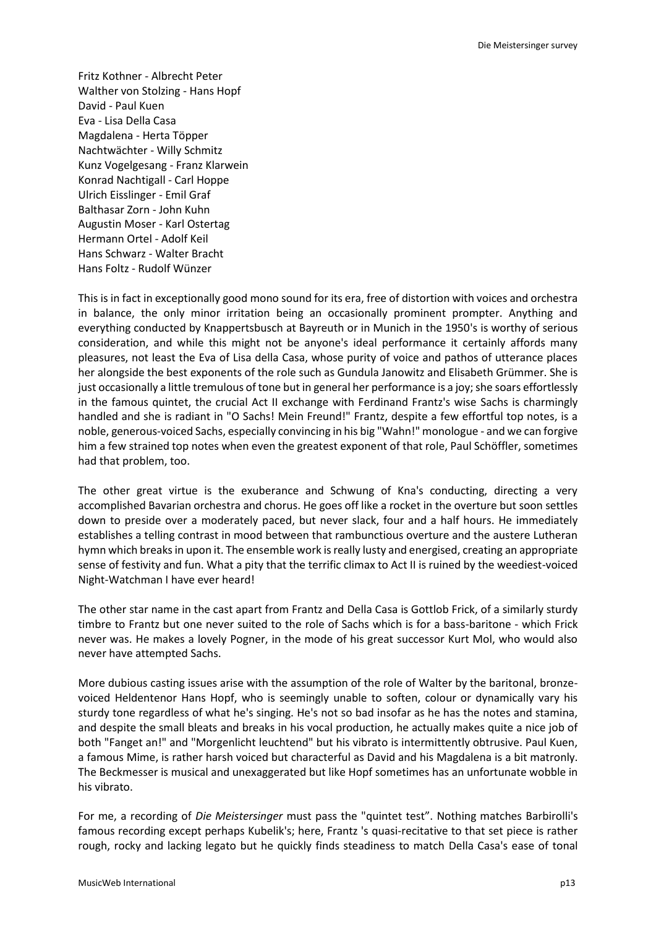Fritz Kothner - Albrecht Peter Walther von Stolzing - Hans Hopf David - Paul Kuen Eva - Lisa Della Casa Magdalena - Herta Töpper Nachtwächter - Willy Schmitz Kunz Vogelgesang - Franz Klarwein Konrad Nachtigall - Carl Hoppe Ulrich Eisslinger - Emil Graf Balthasar Zorn - John Kuhn Augustin Moser - Karl Ostertag Hermann Ortel - Adolf Keil Hans Schwarz - Walter Bracht Hans Foltz - Rudolf Wünzer

This is in fact in exceptionally good mono sound for its era, free of distortion with voices and orchestra in balance, the only minor irritation being an occasionally prominent prompter. Anything and everything conducted by Knappertsbusch at Bayreuth or in Munich in the 1950's is worthy of serious consideration, and while this might not be anyone's ideal performance it certainly affords many pleasures, not least the Eva of Lisa della Casa, whose purity of voice and pathos of utterance places her alongside the best exponents of the role such as Gundula Janowitz and Elisabeth Grümmer. She is just occasionally a little tremulous of tone but in general her performance is a joy; she soars effortlessly in the famous quintet, the crucial Act II exchange with Ferdinand Frantz's wise Sachs is charmingly handled and she is radiant in "O Sachs! Mein Freund!" Frantz, despite a few effortful top notes, is a noble, generous-voiced Sachs, especially convincing in his big "Wahn!" monologue - and we can forgive him a few strained top notes when even the greatest exponent of that role, Paul Schöffler, sometimes had that problem, too.

The other great virtue is the exuberance and Schwung of Kna's conducting, directing a very accomplished Bavarian orchestra and chorus. He goes off like a rocket in the overture but soon settles down to preside over a moderately paced, but never slack, four and a half hours. He immediately establishes a telling contrast in mood between that rambunctious overture and the austere Lutheran hymn which breaks in upon it. The ensemble work is really lusty and energised, creating an appropriate sense of festivity and fun. What a pity that the terrific climax to Act II is ruined by the weediest-voiced Night-Watchman I have ever heard!

The other star name in the cast apart from Frantz and Della Casa is Gottlob Frick, of a similarly sturdy timbre to Frantz but one never suited to the role of Sachs which is for a bass-baritone - which Frick never was. He makes a lovely Pogner, in the mode of his great successor Kurt Mol, who would also never have attempted Sachs.

More dubious casting issues arise with the assumption of the role of Walter by the baritonal, bronzevoiced Heldentenor Hans Hopf, who is seemingly unable to soften, colour or dynamically vary his sturdy tone regardless of what he's singing. He's not so bad insofar as he has the notes and stamina, and despite the small bleats and breaks in his vocal production, he actually makes quite a nice job of both "Fanget an!" and "Morgenlicht leuchtend" but his vibrato is intermittently obtrusive. Paul Kuen, a famous Mime, is rather harsh voiced but characterful as David and his Magdalena is a bit matronly. The Beckmesser is musical and unexaggerated but like Hopf sometimes has an unfortunate wobble in his vibrato.

For me, a recording of *Die Meistersinger* must pass the "quintet test". Nothing matches Barbirolli's famous recording except perhaps Kubelik's; here, Frantz 's quasi-recitative to that set piece is rather rough, rocky and lacking legato but he quickly finds steadiness to match Della Casa's ease of tonal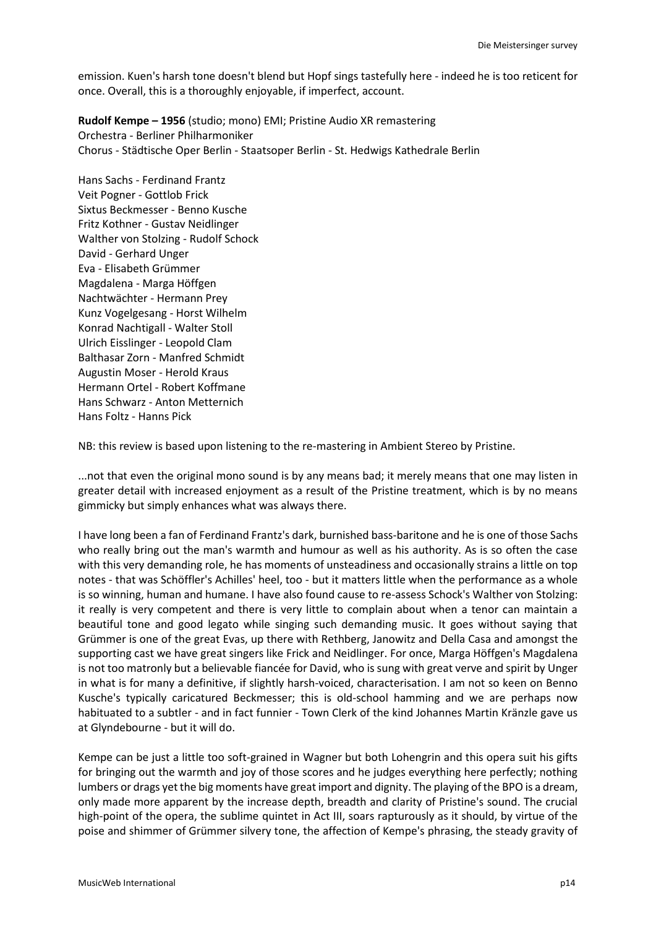emission. Kuen's harsh tone doesn't blend but Hopf sings tastefully here - indeed he is too reticent for once. Overall, this is a thoroughly enjoyable, if imperfect, account.

**Rudolf Kempe – 1956** (studio; mono) EMI; Pristine Audio XR remastering Orchestra - Berliner Philharmoniker Chorus - Städtische Oper Berlin - Staatsoper Berlin - St. Hedwigs Kathedrale Berlin

Hans Sachs - Ferdinand Frantz Veit Pogner - Gottlob Frick Sixtus Beckmesser - Benno Kusche Fritz Kothner - Gustav Neidlinger Walther von Stolzing - Rudolf Schock David - Gerhard Unger Eva - Elisabeth Grümmer Magdalena - Marga Höffgen Nachtwächter - Hermann Prey Kunz Vogelgesang - Horst Wilhelm Konrad Nachtigall - Walter Stoll Ulrich Eisslinger - Leopold Clam Balthasar Zorn - Manfred Schmidt Augustin Moser - Herold Kraus Hermann Ortel - Robert Koffmane Hans Schwarz - Anton Metternich Hans Foltz - Hanns Pick

NB: this review is based upon listening to the re-mastering in Ambient Stereo by Pristine.

...not that even the original mono sound is by any means bad; it merely means that one may listen in greater detail with increased enjoyment as a result of the Pristine treatment, which is by no means gimmicky but simply enhances what was always there.

I have long been a fan of Ferdinand Frantz's dark, burnished bass-baritone and he is one of those Sachs who really bring out the man's warmth and humour as well as his authority. As is so often the case with this very demanding role, he has moments of unsteadiness and occasionally strains a little on top notes - that was Schöffler's Achilles' heel, too - but it matters little when the performance as a whole is so winning, human and humane. I have also found cause to re-assess Schock's Walther von Stolzing: it really is very competent and there is very little to complain about when a tenor can maintain a beautiful tone and good legato while singing such demanding music. It goes without saying that Grümmer is one of the great Evas, up there with Rethberg, Janowitz and Della Casa and amongst the supporting cast we have great singers like Frick and Neidlinger. For once, Marga Höffgen's Magdalena is not too matronly but a believable fiancée for David, who is sung with great verve and spirit by Unger in what is for many a definitive, if slightly harsh-voiced, characterisation. I am not so keen on Benno Kusche's typically caricatured Beckmesser; this is old-school hamming and we are perhaps now habituated to a subtler - and in fact funnier - Town Clerk of the kind Johannes Martin Kränzle gave us at Glyndebourne - but it will do.

Kempe can be just a little too soft-grained in Wagner but both Lohengrin and this opera suit his gifts for bringing out the warmth and joy of those scores and he judges everything here perfectly; nothing lumbers or drags yet the big moments have great import and dignity. The playing of the BPO is a dream, only made more apparent by the increase depth, breadth and clarity of Pristine's sound. The crucial high-point of the opera, the sublime quintet in Act III, soars rapturously as it should, by virtue of the poise and shimmer of Grümmer silvery tone, the affection of Kempe's phrasing, the steady gravity of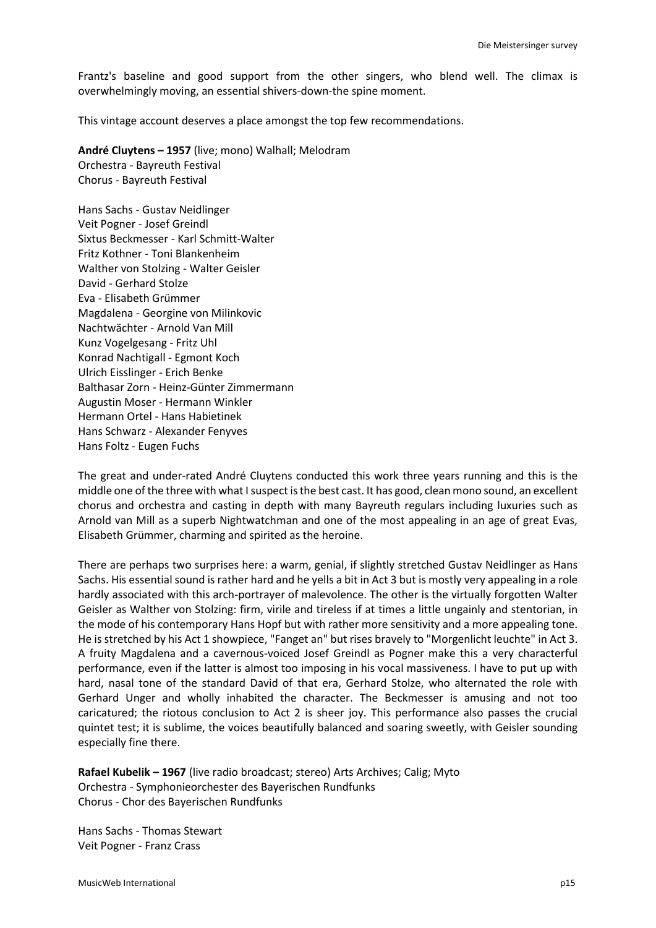Frantz's baseline and good support from the other singers, who blend well. The climax is overwhelmingly moving, an essential shivers-down-the spine moment.

This vintage account deserves a place amongst the top few recommendations.

**André Cluytens – 1957** (live; mono) Walhall; Melodram Orchestra - Bayreuth Festival

Chorus - Bayreuth Festival

Hans Sachs - Gustav Neidlinger Veit Pogner - Josef Greindl Sixtus Beckmesser - Karl Schmitt-Walter Fritz Kothner - Toni Blankenheim Walther von Stolzing - Walter Geisler David - Gerhard Stolze Eva - Elisabeth Grümmer Magdalena - Georgine von Milinkovic Nachtwächter - Arnold Van Mill Kunz Vogelgesang - Fritz Uhl Konrad Nachtigall - Egmont Koch Ulrich Eisslinger - Erich Benke Balthasar Zorn - Heinz-Günter Zimmermann Augustin Moser - Hermann Winkler Hermann Ortel - Hans Habietinek Hans Schwarz - Alexander Fenyves Hans Foltz - Eugen Fuchs

The great and under-rated André Cluytens conducted this work three years running and this is the middle one of the three with what I suspect is the best cast. It has good, clean mono sound, an excellent chorus and orchestra and casting in depth with many Bayreuth regulars including luxuries such as Arnold van Mill as a superb Nightwatchman and one of the most appealing in an age of great Evas, Elisabeth Grümmer, charming and spirited as the heroine.

There are perhaps two surprises here: a warm, genial, if slightly stretched Gustav Neidlinger as Hans Sachs. His essential sound is rather hard and he yells a bit in Act 3 but is mostly very appealing in a role hardly associated with this arch-portrayer of malevolence. The other is the virtually forgotten Walter Geisler as Walther von Stolzing: firm, virile and tireless if at times a little ungainly and stentorian, in the mode of his contemporary Hans Hopf but with rather more sensitivity and a more appealing tone. He is stretched by his Act 1 showpiece, "Fanget an" but rises bravely to "Morgenlicht leuchte" in Act 3. A fruity Magdalena and a cavernous-voiced Josef Greindl as Pogner make this a very characterful performance, even if the latter is almost too imposing in his vocal massiveness. I have to put up with hard, nasal tone of the standard David of that era, Gerhard Stolze, who alternated the role with Gerhard Unger and wholly inhabited the character. The Beckmesser is amusing and not too caricatured; the riotous conclusion to Act 2 is sheer joy. This performance also passes the crucial quintet test; it is sublime, the voices beautifully balanced and soaring sweetly, with Geisler sounding especially fine there.

**Rafael Kubelik – 1967** (live radio broadcast; stereo) Arts Archives; Calig; Myto Orchestra - Symphonieorchester des Bayerischen Rundfunks Chorus - Chor des Bayerischen Rundfunks

Hans Sachs - Thomas Stewart Veit Pogner - Franz Crass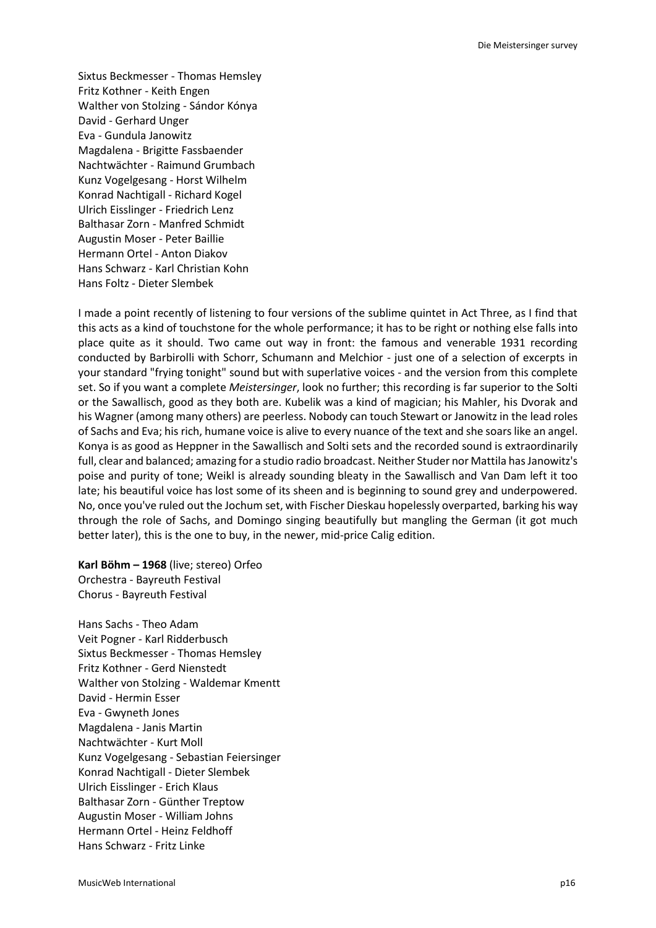Sixtus Beckmesser - Thomas Hemsley Fritz Kothner - Keith Engen Walther von Stolzing - Sándor Kónya David - Gerhard Unger Eva - Gundula Janowitz Magdalena - Brigitte Fassbaender Nachtwächter - Raimund Grumbach Kunz Vogelgesang - Horst Wilhelm Konrad Nachtigall - Richard Kogel Ulrich Eisslinger - Friedrich Lenz Balthasar Zorn - Manfred Schmidt Augustin Moser - Peter Baillie Hermann Ortel - Anton Diakov Hans Schwarz - Karl Christian Kohn Hans Foltz - Dieter Slembek

I made a point recently of listening to four versions of the sublime quintet in Act Three, as I find that this acts as a kind of touchstone for the whole performance; it has to be right or nothing else falls into place quite as it should. Two came out way in front: the famous and venerable 1931 recording conducted by Barbirolli with Schorr, Schumann and Melchior - just one of a selection of excerpts in your standard "frying tonight" sound but with superlative voices - and the version from this complete set. So if you want a complete *Meistersinger*, look no further; this recording is far superior to the Solti or the Sawallisch, good as they both are. Kubelik was a kind of magician; his Mahler, his Dvorak and his Wagner (among many others) are peerless. Nobody can touch Stewart or Janowitz in the lead roles of Sachs and Eva; his rich, humane voice is alive to every nuance of the text and she soars like an angel. Konya is as good as Heppner in the Sawallisch and Solti sets and the recorded sound is extraordinarily full, clear and balanced; amazing for a studio radio broadcast. Neither Studer nor Mattila has Janowitz's poise and purity of tone; Weikl is already sounding bleaty in the Sawallisch and Van Dam left it too late; his beautiful voice has lost some of its sheen and is beginning to sound grey and underpowered. No, once you've ruled out the Jochum set, with Fischer Dieskau hopelessly overparted, barking his way through the role of Sachs, and Domingo singing beautifully but mangling the German (it got much better later), this is the one to buy, in the newer, mid-price Calig edition.

**Karl Böhm – 1968** (live; stereo) Orfeo Orchestra - Bayreuth Festival Chorus - Bayreuth Festival

Hans Sachs - Theo Adam Veit Pogner - Karl Ridderbusch Sixtus Beckmesser - Thomas Hemsley Fritz Kothner - Gerd Nienstedt Walther von Stolzing - Waldemar Kmentt David - Hermin Esser Eva - Gwyneth Jones Magdalena - Janis Martin Nachtwächter - Kurt Moll Kunz Vogelgesang - Sebastian Feiersinger Konrad Nachtigall - Dieter Slembek Ulrich Eisslinger - Erich Klaus Balthasar Zorn - Günther Treptow Augustin Moser - William Johns Hermann Ortel - Heinz Feldhoff Hans Schwarz - Fritz Linke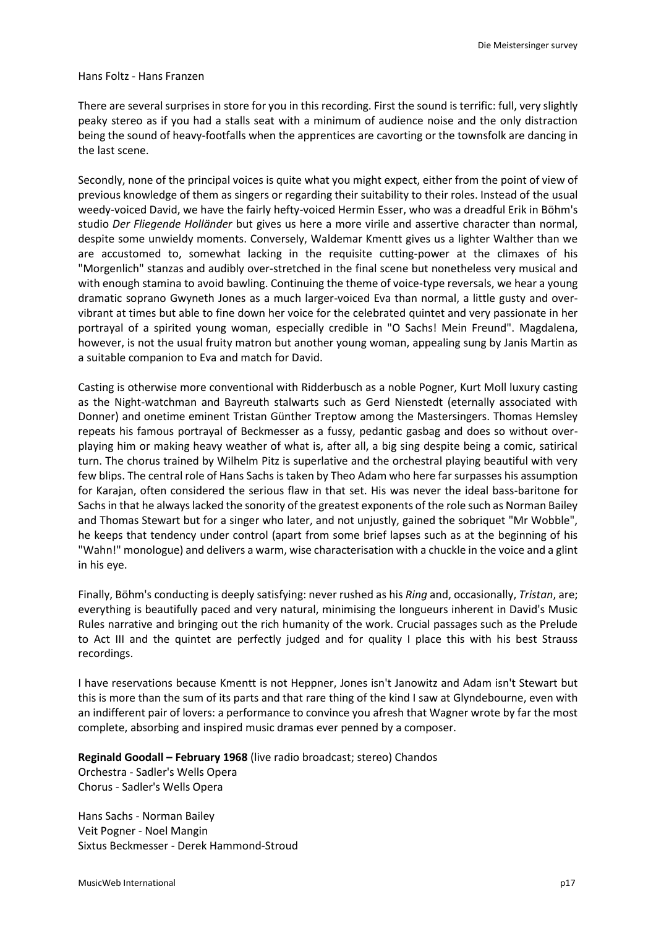#### Hans Foltz - Hans Franzen

There are several surprises in store for you in this recording. First the sound is terrific: full, very slightly peaky stereo as if you had a stalls seat with a minimum of audience noise and the only distraction being the sound of heavy-footfalls when the apprentices are cavorting or the townsfolk are dancing in the last scene.

Secondly, none of the principal voices is quite what you might expect, either from the point of view of previous knowledge of them as singers or regarding their suitability to their roles. Instead of the usual weedy-voiced David, we have the fairly hefty-voiced Hermin Esser, who was a dreadful Erik in Böhm's studio *Der Fliegende Holländer* but gives us here a more virile and assertive character than normal, despite some unwieldy moments. Conversely, Waldemar Kmentt gives us a lighter Walther than we are accustomed to, somewhat lacking in the requisite cutting-power at the climaxes of his "Morgenlich" stanzas and audibly over-stretched in the final scene but nonetheless very musical and with enough stamina to avoid bawling. Continuing the theme of voice-type reversals, we hear a young dramatic soprano Gwyneth Jones as a much larger-voiced Eva than normal, a little gusty and overvibrant at times but able to fine down her voice for the celebrated quintet and very passionate in her portrayal of a spirited young woman, especially credible in "O Sachs! Mein Freund". Magdalena, however, is not the usual fruity matron but another young woman, appealing sung by Janis Martin as a suitable companion to Eva and match for David.

Casting is otherwise more conventional with Ridderbusch as a noble Pogner, Kurt Moll luxury casting as the Night-watchman and Bayreuth stalwarts such as Gerd Nienstedt (eternally associated with Donner) and onetime eminent Tristan Günther Treptow among the Mastersingers. Thomas Hemsley repeats his famous portrayal of Beckmesser as a fussy, pedantic gasbag and does so without overplaying him or making heavy weather of what is, after all, a big sing despite being a comic, satirical turn. The chorus trained by Wilhelm Pitz is superlative and the orchestral playing beautiful with very few blips. The central role of Hans Sachs is taken by Theo Adam who here far surpasses his assumption for Karajan, often considered the serious flaw in that set. His was never the ideal bass-baritone for Sachs in that he always lacked the sonority of the greatest exponents of the role such as Norman Bailey and Thomas Stewart but for a singer who later, and not unjustly, gained the sobriquet "Mr Wobble", he keeps that tendency under control (apart from some brief lapses such as at the beginning of his "Wahn!" monologue) and delivers a warm, wise characterisation with a chuckle in the voice and a glint in his eye.

Finally, Böhm's conducting is deeply satisfying: never rushed as his *Ring* and, occasionally, *Tristan*, are; everything is beautifully paced and very natural, minimising the longueurs inherent in David's Music Rules narrative and bringing out the rich humanity of the work. Crucial passages such as the Prelude to Act III and the quintet are perfectly judged and for quality I place this with his best Strauss recordings.

I have reservations because Kmentt is not Heppner, Jones isn't Janowitz and Adam isn't Stewart but this is more than the sum of its parts and that rare thing of the kind I saw at Glyndebourne, even with an indifferent pair of lovers: a performance to convince you afresh that Wagner wrote by far the most complete, absorbing and inspired music dramas ever penned by a composer.

**Reginald Goodall – February 1968** (live radio broadcast; stereo) Chandos Orchestra - Sadler's Wells Opera Chorus - Sadler's Wells Opera

Hans Sachs - Norman Bailey Veit Pogner - Noel Mangin Sixtus Beckmesser - Derek Hammond-Stroud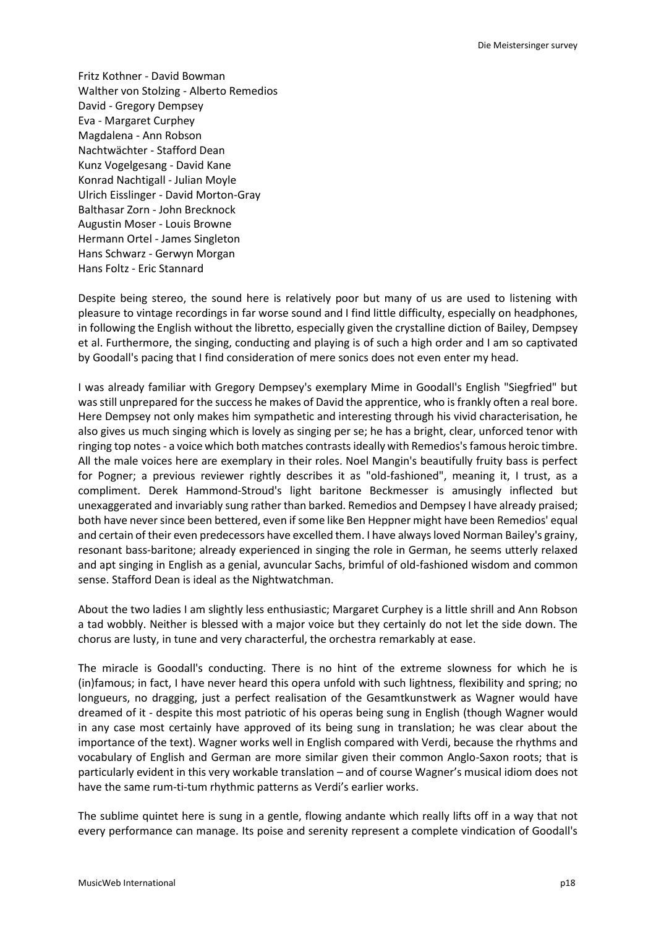Fritz Kothner - David Bowman Walther von Stolzing - Alberto Remedios David - Gregory Dempsey Eva - Margaret Curphey Magdalena - Ann Robson Nachtwächter - Stafford Dean Kunz Vogelgesang - David Kane Konrad Nachtigall - Julian Moyle Ulrich Eisslinger - David Morton-Gray Balthasar Zorn - John Brecknock Augustin Moser - Louis Browne Hermann Ortel - James Singleton Hans Schwarz - Gerwyn Morgan Hans Foltz - Eric Stannard

Despite being stereo, the sound here is relatively poor but many of us are used to listening with pleasure to vintage recordings in far worse sound and I find little difficulty, especially on headphones, in following the English without the libretto, especially given the crystalline diction of Bailey, Dempsey et al. Furthermore, the singing, conducting and playing is of such a high order and I am so captivated by Goodall's pacing that I find consideration of mere sonics does not even enter my head.

I was already familiar with Gregory Dempsey's exemplary Mime in Goodall's English "Siegfried" but was still unprepared for the success he makes of David the apprentice, who is frankly often a real bore. Here Dempsey not only makes him sympathetic and interesting through his vivid characterisation, he also gives us much singing which is lovely as singing per se; he has a bright, clear, unforced tenor with ringing top notes - a voice which both matches contrasts ideally with Remedios's famous heroic timbre. All the male voices here are exemplary in their roles. Noel Mangin's beautifully fruity bass is perfect for Pogner; a previous reviewer rightly describes it as "old-fashioned", meaning it, I trust, as a compliment. Derek Hammond-Stroud's light baritone Beckmesser is amusingly inflected but unexaggerated and invariably sung rather than barked. Remedios and Dempsey I have already praised; both have never since been bettered, even if some like Ben Heppner might have been Remedios' equal and certain of their even predecessors have excelled them. I have always loved Norman Bailey's grainy, resonant bass-baritone; already experienced in singing the role in German, he seems utterly relaxed and apt singing in English as a genial, avuncular Sachs, brimful of old-fashioned wisdom and common sense. Stafford Dean is ideal as the Nightwatchman.

About the two ladies I am slightly less enthusiastic; Margaret Curphey is a little shrill and Ann Robson a tad wobbly. Neither is blessed with a major voice but they certainly do not let the side down. The chorus are lusty, in tune and very characterful, the orchestra remarkably at ease.

The miracle is Goodall's conducting. There is no hint of the extreme slowness for which he is (in)famous; in fact, I have never heard this opera unfold with such lightness, flexibility and spring; no longueurs, no dragging, just a perfect realisation of the Gesamtkunstwerk as Wagner would have dreamed of it - despite this most patriotic of his operas being sung in English (though Wagner would in any case most certainly have approved of its being sung in translation; he was clear about the importance of the text). Wagner works well in English compared with Verdi, because the rhythms and vocabulary of English and German are more similar given their common Anglo-Saxon roots; that is particularly evident in this very workable translation – and of course Wagner's musical idiom does not have the same rum-ti-tum rhythmic patterns as Verdi's earlier works.

The sublime quintet here is sung in a gentle, flowing andante which really lifts off in a way that not every performance can manage. Its poise and serenity represent a complete vindication of Goodall's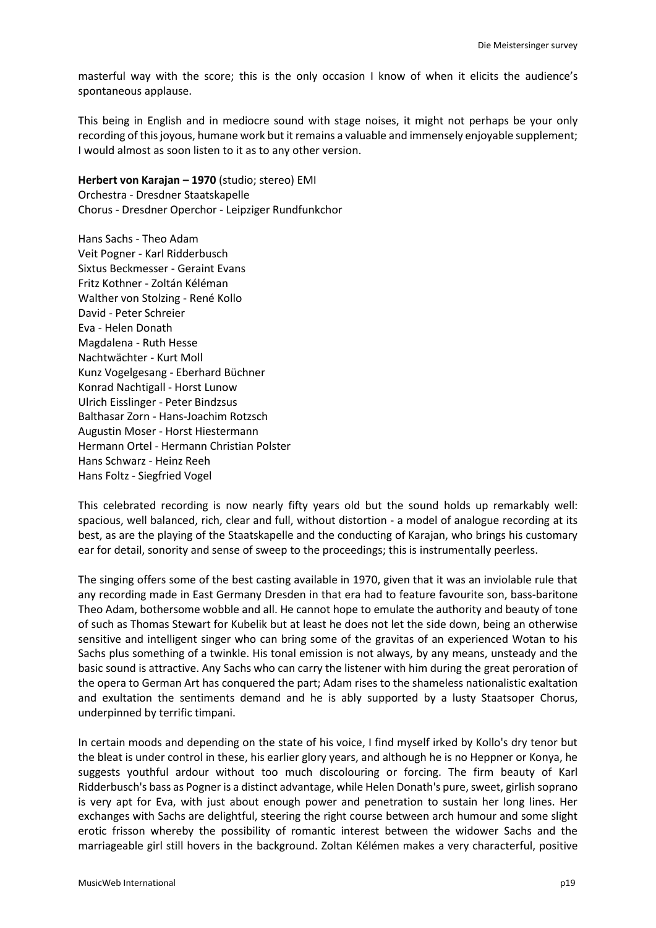masterful way with the score; this is the only occasion I know of when it elicits the audience's spontaneous applause.

This being in English and in mediocre sound with stage noises, it might not perhaps be your only recording of this joyous, humane work but it remains a valuable and immensely enjoyable supplement; I would almost as soon listen to it as to any other version.

**Herbert von Karajan – 1970** (studio; stereo) EMI Orchestra - Dresdner Staatskapelle Chorus - Dresdner Operchor - Leipziger Rundfunkchor

Hans Sachs - Theo Adam Veit Pogner - Karl Ridderbusch Sixtus Beckmesser - Geraint Evans Fritz Kothner - Zoltán Kéléman Walther von Stolzing - René Kollo David - Peter Schreier Eva - Helen Donath Magdalena - Ruth Hesse Nachtwächter - Kurt Moll Kunz Vogelgesang - Eberhard Büchner Konrad Nachtigall - Horst Lunow Ulrich Eisslinger - Peter Bindzsus Balthasar Zorn - Hans-Joachim Rotzsch Augustin Moser - Horst Hiestermann Hermann Ortel - Hermann Christian Polster Hans Schwarz - Heinz Reeh Hans Foltz - Siegfried Vogel

This celebrated recording is now nearly fifty years old but the sound holds up remarkably well: spacious, well balanced, rich, clear and full, without distortion - a model of analogue recording at its best, as are the playing of the Staatskapelle and the conducting of Karajan, who brings his customary ear for detail, sonority and sense of sweep to the proceedings; this is instrumentally peerless.

The singing offers some of the best casting available in 1970, given that it was an inviolable rule that any recording made in East Germany Dresden in that era had to feature favourite son, bass-baritone Theo Adam, bothersome wobble and all. He cannot hope to emulate the authority and beauty of tone of such as Thomas Stewart for Kubelik but at least he does not let the side down, being an otherwise sensitive and intelligent singer who can bring some of the gravitas of an experienced Wotan to his Sachs plus something of a twinkle. His tonal emission is not always, by any means, unsteady and the basic sound is attractive. Any Sachs who can carry the listener with him during the great peroration of the opera to German Art has conquered the part; Adam rises to the shameless nationalistic exaltation and exultation the sentiments demand and he is ably supported by a lusty Staatsoper Chorus, underpinned by terrific timpani.

In certain moods and depending on the state of his voice, I find myself irked by Kollo's dry tenor but the bleat is under control in these, his earlier glory years, and although he is no Heppner or Konya, he suggests youthful ardour without too much discolouring or forcing. The firm beauty of Karl Ridderbusch's bass as Pogner is a distinct advantage, while Helen Donath's pure, sweet, girlish soprano is very apt for Eva, with just about enough power and penetration to sustain her long lines. Her exchanges with Sachs are delightful, steering the right course between arch humour and some slight erotic frisson whereby the possibility of romantic interest between the widower Sachs and the marriageable girl still hovers in the background. Zoltan Kélémen makes a very characterful, positive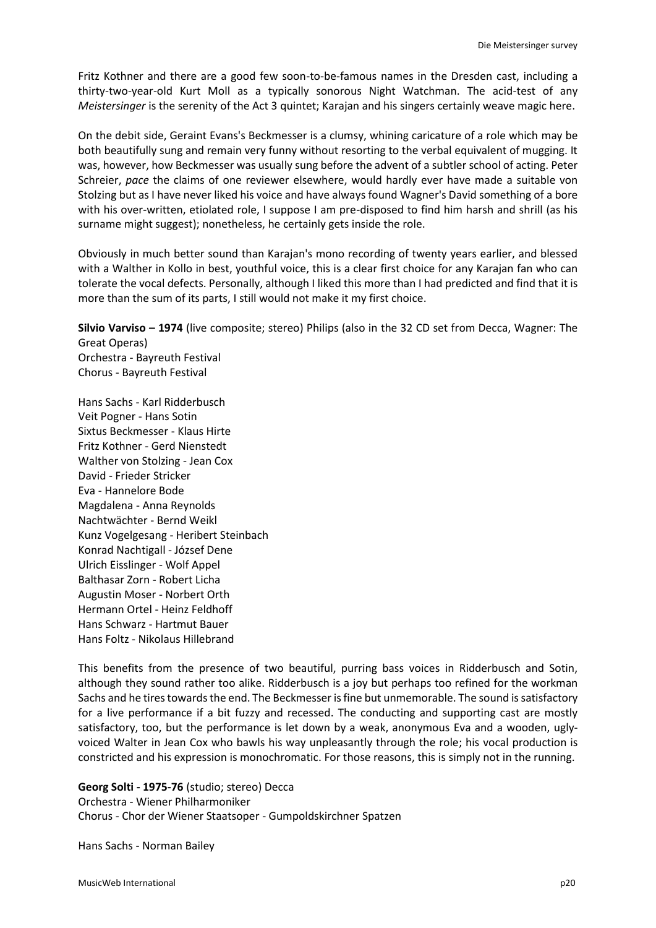Fritz Kothner and there are a good few soon-to-be-famous names in the Dresden cast, including a thirty-two-year-old Kurt Moll as a typically sonorous Night Watchman. The acid-test of any *Meistersinger* is the serenity of the Act 3 quintet; Karajan and his singers certainly weave magic here.

On the debit side, Geraint Evans's Beckmesser is a clumsy, whining caricature of a role which may be both beautifully sung and remain very funny without resorting to the verbal equivalent of mugging. It was, however, how Beckmesser was usually sung before the advent of a subtler school of acting. Peter Schreier, *pace* the claims of one reviewer elsewhere, would hardly ever have made a suitable von Stolzing but as I have never liked his voice and have always found Wagner's David something of a bore with his over-written, etiolated role, I suppose I am pre-disposed to find him harsh and shrill (as his surname might suggest); nonetheless, he certainly gets inside the role.

Obviously in much better sound than Karajan's mono recording of twenty years earlier, and blessed with a Walther in Kollo in best, youthful voice, this is a clear first choice for any Karajan fan who can tolerate the vocal defects. Personally, although I liked this more than I had predicted and find that it is more than the sum of its parts, I still would not make it my first choice.

**Silvio Varviso – 1974** (live composite; stereo) Philips (also in the 32 CD set from Decca, Wagner: The Great Operas) Orchestra - Bayreuth Festival Chorus - Bayreuth Festival

Hans Sachs - Karl Ridderbusch Veit Pogner - Hans Sotin Sixtus Beckmesser - Klaus Hirte Fritz Kothner - Gerd Nienstedt Walther von Stolzing - Jean Cox David - Frieder Stricker Eva - Hannelore Bode Magdalena - Anna Reynolds Nachtwächter - Bernd Weikl Kunz Vogelgesang - Heribert Steinbach Konrad Nachtigall - József Dene Ulrich Eisslinger - Wolf Appel Balthasar Zorn - Robert Licha Augustin Moser - Norbert Orth Hermann Ortel - Heinz Feldhoff Hans Schwarz - Hartmut Bauer Hans Foltz - Nikolaus Hillebrand

This benefits from the presence of two beautiful, purring bass voices in Ridderbusch and Sotin, although they sound rather too alike. Ridderbusch is a joy but perhaps too refined for the workman Sachs and he tires towards the end. The Beckmesser is fine but unmemorable. The sound is satisfactory for a live performance if a bit fuzzy and recessed. The conducting and supporting cast are mostly satisfactory, too, but the performance is let down by a weak, anonymous Eva and a wooden, uglyvoiced Walter in Jean Cox who bawls his way unpleasantly through the role; his vocal production is constricted and his expression is monochromatic. For those reasons, this is simply not in the running.

# **Georg Solti - 1975-76** (studio; stereo) Decca

Orchestra - Wiener Philharmoniker Chorus - Chor der Wiener Staatsoper - Gumpoldskirchner Spatzen

Hans Sachs - Norman Bailey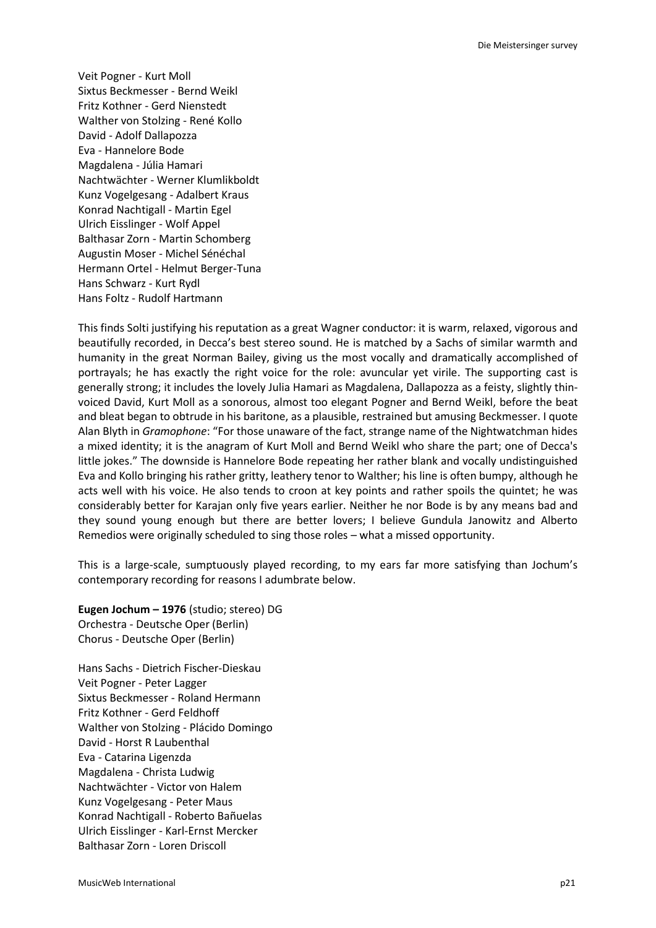Veit Pogner - Kurt Moll Sixtus Beckmesser - Bernd Weikl Fritz Kothner - Gerd Nienstedt Walther von Stolzing - René Kollo David - Adolf Dallapozza Eva - Hannelore Bode Magdalena - Júlia Hamari Nachtwächter - Werner Klumlikboldt Kunz Vogelgesang - Adalbert Kraus Konrad Nachtigall - Martin Egel Ulrich Eisslinger - Wolf Appel Balthasar Zorn - Martin Schomberg Augustin Moser - Michel Sénéchal Hermann Ortel - Helmut Berger-Tuna Hans Schwarz - Kurt Rydl Hans Foltz - Rudolf Hartmann

This finds Solti justifying his reputation as a great Wagner conductor: it is warm, relaxed, vigorous and beautifully recorded, in Decca's best stereo sound. He is matched by a Sachs of similar warmth and humanity in the great Norman Bailey, giving us the most vocally and dramatically accomplished of portrayals; he has exactly the right voice for the role: avuncular yet virile. The supporting cast is generally strong; it includes the lovely Julia Hamari as Magdalena, Dallapozza as a feisty, slightly thinvoiced David, Kurt Moll as a sonorous, almost too elegant Pogner and Bernd Weikl, before the beat and bleat began to obtrude in his baritone, as a plausible, restrained but amusing Beckmesser. I quote Alan Blyth in *Gramophone*: "For those unaware of the fact, strange name of the Nightwatchman hides a mixed identity; it is the anagram of Kurt Moll and Bernd Weikl who share the part; one of Decca's little jokes." The downside is Hannelore Bode repeating her rather blank and vocally undistinguished Eva and Kollo bringing his rather gritty, leathery tenor to Walther; his line is often bumpy, although he acts well with his voice. He also tends to croon at key points and rather spoils the quintet; he was considerably better for Karajan only five years earlier. Neither he nor Bode is by any means bad and they sound young enough but there are better lovers; I believe Gundula Janowitz and Alberto Remedios were originally scheduled to sing those roles – what a missed opportunity.

This is a large-scale, sumptuously played recording, to my ears far more satisfying than Jochum's contemporary recording for reasons I adumbrate below.

**Eugen Jochum – 1976** (studio; stereo) DG Orchestra - Deutsche Oper (Berlin) Chorus - Deutsche Oper (Berlin)

Hans Sachs - Dietrich Fischer-Dieskau Veit Pogner - Peter Lagger Sixtus Beckmesser - Roland Hermann Fritz Kothner - Gerd Feldhoff Walther von Stolzing - Plácido Domingo David - Horst R Laubenthal Eva - Catarina Ligenzda Magdalena - Christa Ludwig Nachtwächter - Victor von Halem Kunz Vogelgesang - Peter Maus Konrad Nachtigall - Roberto Bañuelas Ulrich Eisslinger - Karl-Ernst Mercker Balthasar Zorn - Loren Driscoll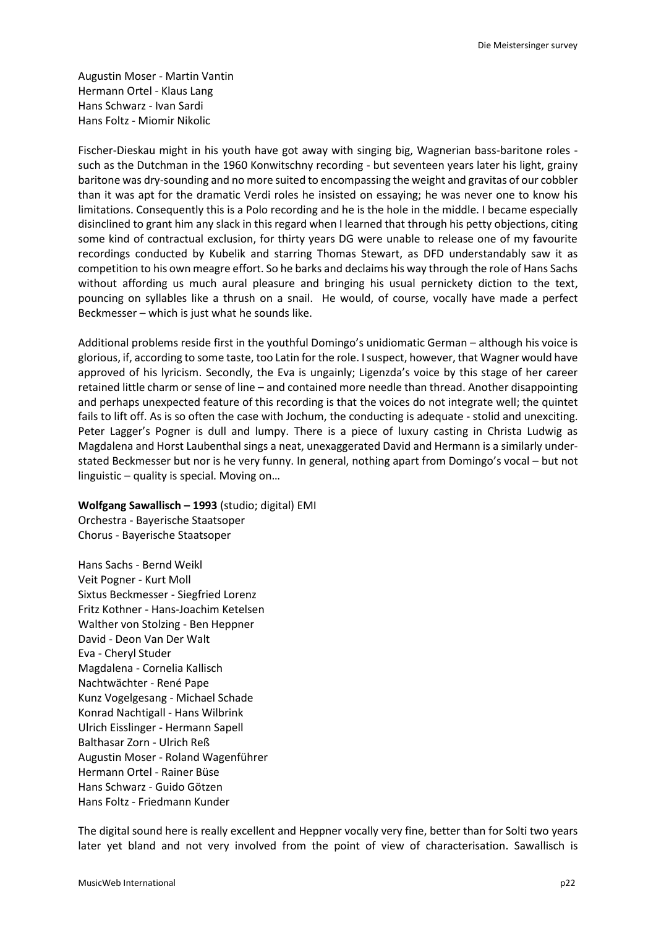Augustin Moser - Martin Vantin Hermann Ortel - Klaus Lang Hans Schwarz - Ivan Sardi Hans Foltz - Miomir Nikolic

Fischer-Dieskau might in his youth have got away with singing big, Wagnerian bass-baritone roles such as the Dutchman in the 1960 Konwitschny recording - but seventeen years later his light, grainy baritone was dry-sounding and no more suited to encompassing the weight and gravitas of our cobbler than it was apt for the dramatic Verdi roles he insisted on essaying; he was never one to know his limitations. Consequently this is a Polo recording and he is the hole in the middle. I became especially disinclined to grant him any slack in this regard when I learned that through his petty objections, citing some kind of contractual exclusion, for thirty years DG were unable to release one of my favourite recordings conducted by Kubelik and starring Thomas Stewart, as DFD understandably saw it as competition to his own meagre effort. So he barks and declaims his way through the role of Hans Sachs without affording us much aural pleasure and bringing his usual pernickety diction to the text, pouncing on syllables like a thrush on a snail. He would, of course, vocally have made a perfect Beckmesser – which is just what he sounds like.

Additional problems reside first in the youthful Domingo's unidiomatic German – although his voice is glorious, if, according to some taste, too Latin for the role. I suspect, however, that Wagner would have approved of his lyricism. Secondly, the Eva is ungainly; Ligenzda's voice by this stage of her career retained little charm or sense of line – and contained more needle than thread. Another disappointing and perhaps unexpected feature of this recording is that the voices do not integrate well; the quintet fails to lift off. As is so often the case with Jochum, the conducting is adequate - stolid and unexciting. Peter Lagger's Pogner is dull and lumpy. There is a piece of luxury casting in Christa Ludwig as Magdalena and Horst Laubenthal sings a neat, unexaggerated David and Hermann is a similarly understated Beckmesser but nor is he very funny. In general, nothing apart from Domingo's vocal – but not linguistic – quality is special. Moving on…

**Wolfgang Sawallisch – 1993** (studio; digital) EMI Orchestra - Bayerische Staatsoper

Chorus - Bayerische Staatsoper

Hans Sachs - Bernd Weikl Veit Pogner - Kurt Moll Sixtus Beckmesser - Siegfried Lorenz Fritz Kothner - Hans-Joachim Ketelsen Walther von Stolzing - Ben Heppner David - Deon Van Der Walt Eva - Cheryl Studer Magdalena - Cornelia Kallisch Nachtwächter - René Pape Kunz Vogelgesang - Michael Schade Konrad Nachtigall - Hans Wilbrink Ulrich Eisslinger - Hermann Sapell Balthasar Zorn - Ulrich Reß Augustin Moser - Roland Wagenführer Hermann Ortel - Rainer Büse Hans Schwarz - Guido Götzen Hans Foltz - Friedmann Kunder

The digital sound here is really excellent and Heppner vocally very fine, better than for Solti two years later yet bland and not very involved from the point of view of characterisation. Sawallisch is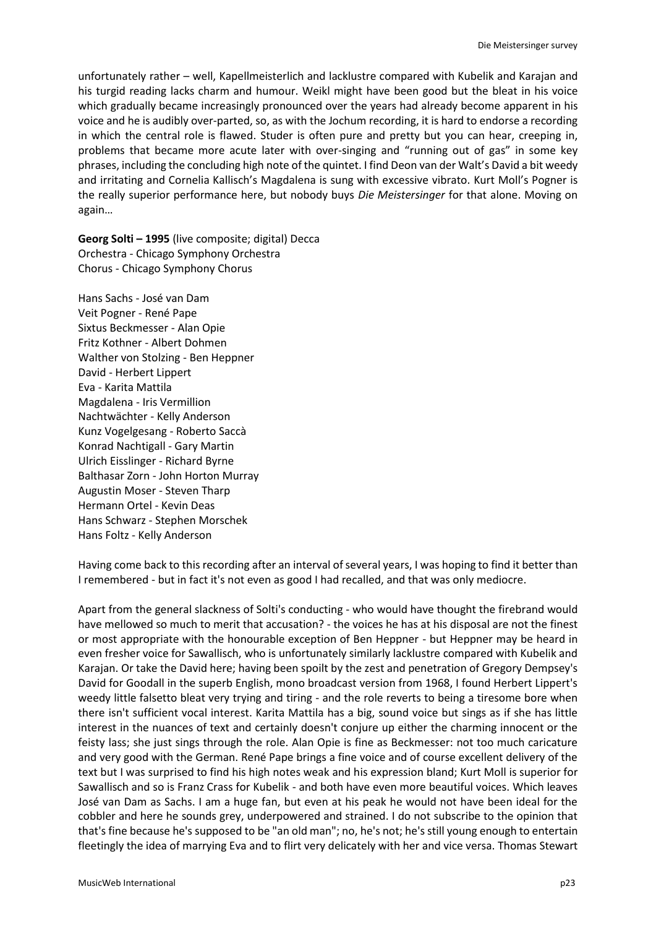unfortunately rather – well, Kapellmeisterlich and lacklustre compared with Kubelik and Karajan and his turgid reading lacks charm and humour. Weikl might have been good but the bleat in his voice which gradually became increasingly pronounced over the years had already become apparent in his voice and he is audibly over-parted, so, as with the Jochum recording, it is hard to endorse a recording in which the central role is flawed. Studer is often pure and pretty but you can hear, creeping in, problems that became more acute later with over-singing and "running out of gas" in some key phrases, including the concluding high note of the quintet. I find Deon van der Walt's David a bit weedy and irritating and Cornelia Kallisch's Magdalena is sung with excessive vibrato. Kurt Moll's Pogner is the really superior performance here, but nobody buys *Die Meistersinger* for that alone. Moving on again…

**Georg Solti – 1995** (live composite; digital) Decca Orchestra - Chicago Symphony Orchestra Chorus - Chicago Symphony Chorus

Hans Sachs - José van Dam Veit Pogner - René Pape Sixtus Beckmesser - Alan Opie Fritz Kothner - Albert Dohmen Walther von Stolzing - Ben Heppner David - Herbert Lippert Eva - Karita Mattila Magdalena - Iris Vermillion Nachtwächter - Kelly Anderson Kunz Vogelgesang - Roberto Saccà Konrad Nachtigall - Gary Martin Ulrich Eisslinger - Richard Byrne Balthasar Zorn - John Horton Murray Augustin Moser - Steven Tharp Hermann Ortel - Kevin Deas Hans Schwarz - Stephen Morschek Hans Foltz - Kelly Anderson

Having come back to this recording after an interval of several years, I was hoping to find it better than I remembered - but in fact it's not even as good I had recalled, and that was only mediocre.

Apart from the general slackness of Solti's conducting - who would have thought the firebrand would have mellowed so much to merit that accusation? - the voices he has at his disposal are not the finest or most appropriate with the honourable exception of Ben Heppner - but Heppner may be heard in even fresher voice for Sawallisch, who is unfortunately similarly lacklustre compared with Kubelik and Karajan. Or take the David here; having been spoilt by the zest and penetration of Gregory Dempsey's David for Goodall in the superb English, mono broadcast version from 1968, I found Herbert Lippert's weedy little falsetto bleat very trying and tiring - and the role reverts to being a tiresome bore when there isn't sufficient vocal interest. Karita Mattila has a big, sound voice but sings as if she has little interest in the nuances of text and certainly doesn't conjure up either the charming innocent or the feisty lass; she just sings through the role. Alan Opie is fine as Beckmesser: not too much caricature and very good with the German. René Pape brings a fine voice and of course excellent delivery of the text but I was surprised to find his high notes weak and his expression bland; Kurt Moll is superior for Sawallisch and so is Franz Crass for Kubelik - and both have even more beautiful voices. Which leaves José van Dam as Sachs. I am a huge fan, but even at his peak he would not have been ideal for the cobbler and here he sounds grey, underpowered and strained. I do not subscribe to the opinion that that's fine because he's supposed to be "an old man"; no, he's not; he's still young enough to entertain fleetingly the idea of marrying Eva and to flirt very delicately with her and vice versa. Thomas Stewart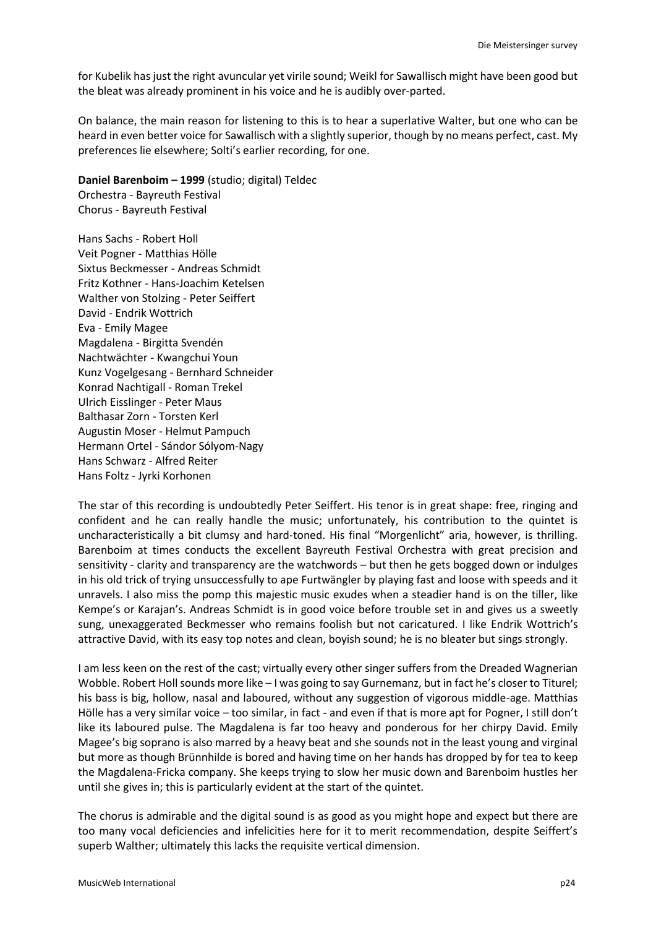for Kubelik has just the right avuncular yet virile sound; Weikl for Sawallisch might have been good but the bleat was already prominent in his voice and he is audibly over-parted.

On balance, the main reason for listening to this is to hear a superlative Walter, but one who can be heard in even better voice for Sawallisch with a slightly superior, though by no means perfect, cast. My preferences lie elsewhere; Solti's earlier recording, for one.

**Daniel Barenboim – 1999** (studio; digital) Teldec Orchestra - Bayreuth Festival

Chorus - Bayreuth Festival

Hans Sachs - Robert Holl Veit Pogner - Matthias Hölle Sixtus Beckmesser - Andreas Schmidt Fritz Kothner - Hans-Joachim Ketelsen Walther von Stolzing - Peter Seiffert David - Endrik Wottrich Eva - Emily Magee Magdalena - Birgitta Svendén Nachtwächter - Kwangchui Youn Kunz Vogelgesang - Bernhard Schneider Konrad Nachtigall - Roman Trekel Ulrich Eisslinger - Peter Maus Balthasar Zorn - Torsten Kerl Augustin Moser - Helmut Pampuch Hermann Ortel - Sándor Sólyom-Nagy Hans Schwarz - Alfred Reiter Hans Foltz - Jyrki Korhonen

The star of this recording is undoubtedly Peter Seiffert. His tenor is in great shape: free, ringing and confident and he can really handle the music; unfortunately, his contribution to the quintet is uncharacteristically a bit clumsy and hard-toned. His final "Morgenlicht" aria, however, is thrilling. Barenboim at times conducts the excellent Bayreuth Festival Orchestra with great precision and sensitivity - clarity and transparency are the watchwords – but then he gets bogged down or indulges in his old trick of trying unsuccessfully to ape Furtwängler by playing fast and loose with speeds and it unravels. I also miss the pomp this majestic music exudes when a steadier hand is on the tiller, like Kempe's or Karajan's. Andreas Schmidt is in good voice before trouble set in and gives us a sweetly sung, unexaggerated Beckmesser who remains foolish but not caricatured. I like Endrik Wottrich's attractive David, with its easy top notes and clean, boyish sound; he is no bleater but sings strongly.

I am less keen on the rest of the cast; virtually every other singer suffers from the Dreaded Wagnerian Wobble. Robert Holl sounds more like – I was going to say Gurnemanz, but in fact he's closer to Titurel; his bass is big, hollow, nasal and laboured, without any suggestion of vigorous middle-age. Matthias Hölle has a very similar voice – too similar, in fact - and even if that is more apt for Pogner, I still don't like its laboured pulse. The Magdalena is far too heavy and ponderous for her chirpy David. Emily Magee's big soprano is also marred by a heavy beat and she sounds not in the least young and virginal but more as though Brünnhilde is bored and having time on her hands has dropped by for tea to keep the Magdalena-Fricka company. She keeps trying to slow her music down and Barenboim hustles her until she gives in; this is particularly evident at the start of the quintet.

The chorus is admirable and the digital sound is as good as you might hope and expect but there are too many vocal deficiencies and infelicities here for it to merit recommendation, despite Seiffert's superb Walther; ultimately this lacks the requisite vertical dimension.